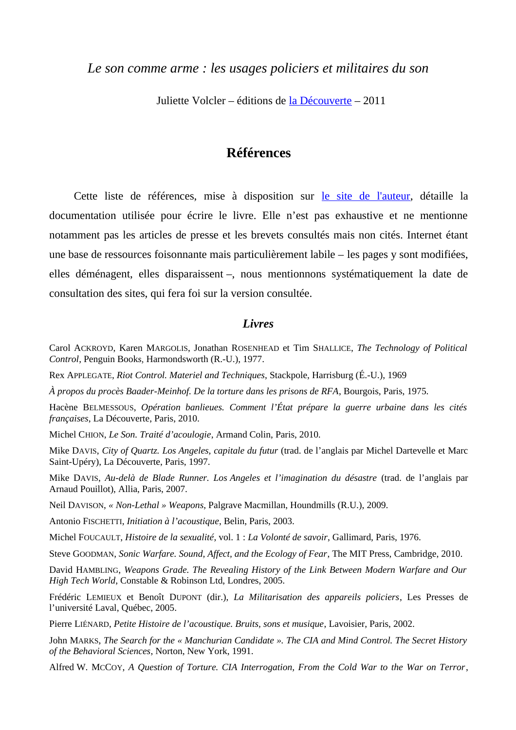*Le son comme arme : les usages policiers et militaires du son*

Juliette Volcler – éditions de [la Découverte](http://www.editionsladecouverte.fr/) – 2011

# **Références**

Cette liste de références, mise à disposition sur [le site de l'auteur,](http://www.intempestive.net/) détaille la documentation utilisée pour écrire le livre. Elle n'est pas exhaustive et ne mentionne notamment pas les articles de presse et les brevets consultés mais non cités. Internet étant une base de ressources foisonnante mais particulièrement labile – les pages y sont modifiées, elles déménagent, elles disparaissent –, nous mentionnons systématiquement la date de consultation des sites, qui fera foi sur la version consultée.

#### *Livres*

Carol ACKROYD, Karen MARGOLIS, Jonathan ROSENHEAD et Tim SHALLICE, *The Technology of Political Control*, Penguin Books, Harmondsworth (R.-U.), 1977.

Rex APPLEGATE, *Riot Control. Materiel and Techniques*, Stackpole, Harrisburg (É.-U.), 1969

*À propos du procès Baader-Meinhof. De la torture dans les prisons de RFA*, Bourgois, Paris, 1975.

Hacène BELMESSOUS, *Opération banlieues. Comment l'État prépare la guerre urbaine dans les cités françaises*, La Découverte, Paris, 2010.

Michel CHION, *Le Son. Traité d'acoulogie*, Armand Colin, Paris, 2010.

Mike DAVIS, *City of Quartz. Los Angeles, capitale du futur* (trad. de l'anglais par Michel Dartevelle et Marc Saint-Upéry), La Découverte, Paris, 1997.

Mike DAVIS, *Au-delà de Blade Runner. Los Angeles et l'imagination du désastre* (trad. de l'anglais par Arnaud Pouillot), Allia, Paris, 2007.

Neil DAVISON, *« Non-Lethal » Weapons*, Palgrave Macmillan, Houndmills (R.U.), 2009.

Antonio FISCHETTI, *Initiation à l'acoustique*, Belin, Paris, 2003.

Michel FOUCAULT, *Histoire de la sexualité*, vol. 1 : *La Volonté de savoir*, Gallimard, Paris, 1976.

Steve GOODMAN, *Sonic Warfare. Sound, Affect, and the Ecology of Fear*, The MIT Press, Cambridge, 2010.

David HAMBLING, *Weapons Grade. The Revealing History of the Link Between Modern Warfare and Our High Tech World*, Constable & Robinson Ltd, Londres, 2005.

Frédéric LEMIEUX et Benoît DUPONT (dir.), *La Militarisation des appareils policiers*, Les Presses de l'université Laval, Québec, 2005.

Pierre LIÉNARD, *Petite Histoire de l'acoustique. Bruits, sons et musique*, Lavoisier, Paris, 2002.

John MARKS, *The Search for the « Manchurian Candidate ». The CIA and Mind Control. The Secret History of the Behavioral Sciences*, Norton, New York, 1991.

Alfred W. MCCOY, *A Question of Torture. CIA Interrogation, From the Cold War to the War on Terror*,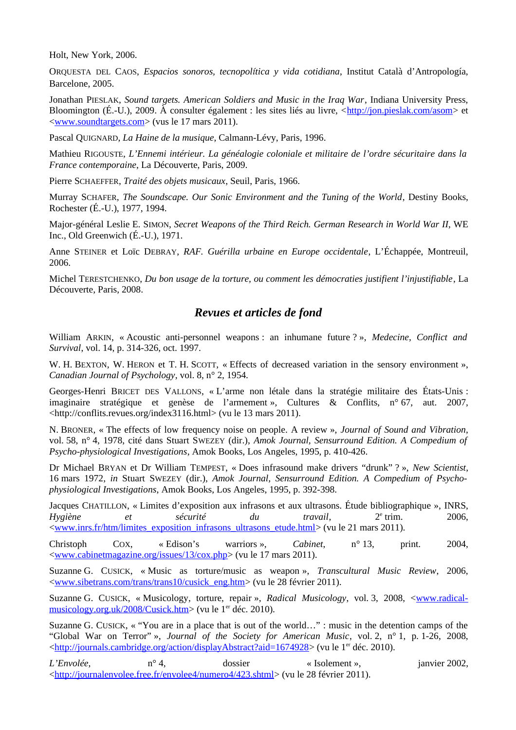Holt, New York, 2006.

ORQUESTA DEL CAOS, *Espacios sonoros, tecnopolítica y vida cotidiana*, Institut Català d'Antropología, Barcelone, 2005.

Jonathan PIESLAK, *Sound targets. American Soldiers and Music in the Iraq War*, Indiana University Press, Bloomington (É.-U.), 2009. À consulter également : les sites liés au livre,  $\langle \frac{\text{http://jon.pieslak.com/asom>et}}{\text{http://on.pieslak.com/asom>et}}$ [<www.soundtargets.com>](http://www.soundtargets.com/) (vus le 17 mars 2011).

Pascal QUIGNARD, *La Haine de la musique*, Calmann-Lévy, Paris, 1996.

Mathieu RIGOUSTE, *L'Ennemi intérieur. La généalogie coloniale et militaire de l'ordre sécuritaire dans la France contemporaine*, La Découverte, Paris, 2009.

Pierre SCHAEFFER, *Traité des objets musicaux*, Seuil, Paris, 1966.

Murray SCHAFER, *The Soundscape. Our Sonic Environment and the Tuning of the World*, Destiny Books, Rochester (É.-U.), 1977, 1994.

Major-général Leslie E. SIMON, *Secret Weapons of the Third Reich. German Research in World War II*, WE Inc., Old Greenwich (É.-U.), 1971.

Anne STEINER et Loïc DEBRAY, *RAF. Guérilla urbaine en Europe occidentale*, L'Échappée, Montreuil, 2006.

Michel TERESTCHENKO, *Du bon usage de la torture, ou comment les démocraties justifient l'injustifiable*, La Découverte, Paris, 2008.

# *Revues et articles de fond*

William ARKIN, « Acoustic anti-personnel weapons : an inhumane future ? », *Medecine, Conflict and Survival*, vol. 14, p. 314-326, oct. 1997.

W. H. BEXTON, W. HERON et T. H. SCOTT, « Effects of decreased variation in the sensory environment », *Canadian Journal of Psychology*, vol. 8, n° 2, 1954.

Georges-Henri BRICET DES VALLONS, « L'arme non létale dans la stratégie militaire des États-Unis : imaginaire stratégique et genèse de l'armement », Cultures & Conflits, n° 67, aut. 2007, <http://conflits.revues.org/index3116.html> (vu le 13 mars 2011).

N. BRONER, « The effects of low frequency noise on people. A review », *Journal of Sound and Vibration*, vol. 58, n° 4, 1978, cité dans Stuart SWEZEY (dir.), *Amok Journal, Sensurround Edition. A Compedium of Psycho-physiological Investigations*, Amok Books, Los Angeles, 1995, p. 410-426.

Dr Michael BRYAN et Dr William TEMPEST, « Does infrasound make drivers "drunk" ? », *New Scientist*, 16 mars 1972, *in* Stuart SWEZEY (dir.), *Amok Journal, Sensurround Edition. A Compedium of Psychophysiological Investigations*, Amok Books, Los Angeles, 1995, p. 392-398.

Jacques CHATILLON, « Limites d'exposition aux infrasons et aux ultrasons. Étude bibliographique », INRS, *Hygiène et sécurité du travail*, 2<sup>e</sup>  $2^e$  trim. 2006, [<www.inrs.fr/htm/limites\\_exposition\\_infrasons\\_ultrasons\\_etude.html>](http://www.inrs.fr/htm/limites_exposition_infrasons_ultrasons_etude.html) (vu le 21 mars 2011).

Christoph COX, « Edison's warriors », *Cabinet*, n° 13, print. 2004, [<www.cabinetmagazine.org/issues/13/cox.php>](http://www.cabinetmagazine.org/issues/13/cox.php) (vu le 17 mars 2011).

Suzanne G. CUSICK, « Music as torture/music as weapon », *Transcultural Music Review*, 2006, [<www.sibetrans.com/trans/trans10/cusick\\_eng.htm>](http://www.sibetrans.com/trans/trans10/cusick_eng.htm) (vu le 28 février 2011).

Suzanne G. CUSICK, « Musicology, torture, repair », *Radical Musicology*, vol. 3, 2008, [<www.radical](http://www.radical-musicology.org.uk/2008/Cusick.htm)[musicology.org.uk/2008/Cusick.htm>](http://www.radical-musicology.org.uk/2008/Cusick.htm) (vu le 1<sup>er</sup> déc. 2010).

Suzanne G. CUSICK, « "You are in a place that is out of the world…" : music in the detention camps of the "Global War on Terror" », *Journal of the Society for American Music*, vol. 2, n° 1, p. 1-26, 2008, [<http://journals.cambridge.org/action/displayAbstract?aid=1674928>](http://journals.cambridge.org/action/displayAbstract?aid=1674928) (vu le 1<sup>er</sup> déc. 2010).

*L'Envolée*,  $n^{\circ}$  4, dossier « Isolement », janvier 2002, [<http://journalenvolee.free.fr/envolee4/numero4/423.shtml>](http://journalenvolee.free.fr/envolee4/numero4/423.shtml) (vu le 28 février 2011).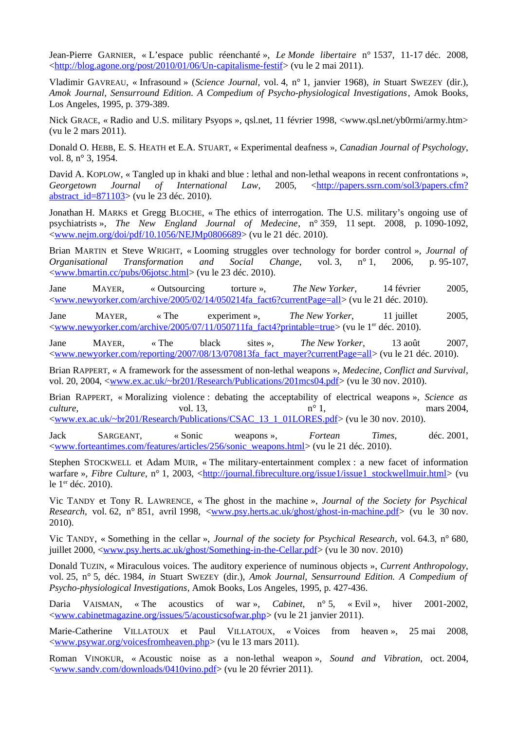Jean-Pierre GARNIER, « L'espace public réenchanté », *Le Monde libertaire* n° 1537, 11-17 déc. 2008, [<http://blog.agone.org/post/2010/01/06/Un-capitalisme-festif>](http://blog.agone.org/post/2010/01/06/Un-capitalisme-festif) (vu le 2 mai 2011).

Vladimir GAVREAU, « Infrasound » (*Science Journal*, vol. 4, n° 1, janvier 1968), *in* Stuart SWEZEY (dir.), *Amok Journal, Sensurround Edition. A Compedium of Psycho-physiological Investigations*, Amok Books, Los Angeles, 1995, p. 379-389.

Nick GRACE, « Radio and U.S. military Psyops », qsl.net, 11 février 1998, <www.qsl.net/yb0rmi/army.htm> (vu le 2 mars 2011).

Donald O. HEBB, E. S. HEATH et E.A. STUART, « Experimental deafness », *Canadian Journal of Psychology*, vol. 8, n° 3, 1954.

David A. KOPLOW, « Tangled up in khaki and blue : lethal and non-lethal weapons in recent confrontations », Georgetown Journal of International Law, 2005, [<http://papers.ssrn.com/sol3/papers.cfm?](http://papers.ssrn.com/sol3/papers.cfm?abstract_id=871103) [abstract\\_id=871103>](http://papers.ssrn.com/sol3/papers.cfm?abstract_id=871103) (vu le 23 déc. 2010).

Jonathan H. MARKS et Gregg BLOCHE, « The ethics of interrogation. The U.S. military's ongoing use of psychiatrists », *The New England Journal of Medecine*, n° 359, 11 sept. 2008, p. 1090-1092, [<www.nejm.org/doi/pdf/10.1056/NEJMp0806689>](http://www.nejm.org/doi/pdf/10.1056/NEJMp0806689) (vu le 21 déc. 2010).

Brian MARTIN et Steve WRIGHT, « Looming struggles over technology for border control », *Journal of Organisational Transformation and Social Change*, vol. 3, n° 1, 2006, p. 95-107, [<www.bmartin.cc/pubs/06jotsc.html>](http://www.bmartin.cc/pubs/06jotsc.html) (vu le 23 déc. 2010).

Jane MAYER, « Outsourcing torture », *The New Yorker*, 14 février 2005, [<www.newyorker.com/archive/2005/02/14/050214fa\\_fact6?currentPage=all>](http://www.newyorker.com/archive/2005/02/14/050214fa_fact6?currentPage=all) (vu le 21 déc. 2010).

Jane MAYER, « The experiment », *The New Yorker*, 11 juillet 2005, [<www.newyorker.com/archive/2005/07/11/050711fa\\_fact4?printable=true>](http://www.newyorker.com/archive/2005/07/11/050711fa_fact4?printable=true) (vu le 1<sup>er</sup> déc. 2010).

Jane MAYER, « The black sites », *The New Yorker*, 13 août 2007, [<www.newyorker.com/reporting/2007/08/13/070813fa\\_fact\\_mayer?currentPage=all>](http://www.newyorker.com/reporting/2007/08/13/070813fa_fact_mayer?currentPage=all) (vu le 21 déc. 2010).

Brian RAPPERT, « A framework for the assessment of non-lethal weapons », *Medecine, Conflict and Survival*, vol. 20, 2004, [<www.ex.ac.uk/~br201/Research/Publications/201mcs04.pdf>](http://www.ex.ac.uk/~br201/Research/Publications/201mcs04.pdf) (vu le 30 nov. 2010).

Brian RAPPERT, « Moralizing violence : debating the acceptability of electrical weapons », *Science as culture,*  $vol. 13$ ,  $vol. 13$ ,  $n^{\circ} 1$ ,  $max 2004$ , [<www.ex.ac.uk/~br201/Research/Publications/CSAC\\_13\\_1\\_01LORES.pdf>](http://www.ex.ac.uk/~br201/Research/Publications/CSAC_13_1_01LORES.pdf) (vu le 30 nov. 2010).

Jack SARGEANT, « Sonic weapons », *Fortean Times*, déc. 2001, [<www.forteantimes.com/features/articles/256/sonic\\_weapons.html>](http://www.forteantimes.com/features/articles/256/sonic_weapons.html) (vu le 21 déc. 2010).

Stephen STOCKWELL et Adam MUIR, « The military-entertainment complex : a new facet of information warfare », *Fibre Culture*, n° 1, 2003, [<http://journal.fibreculture.org/issue1/issue1\\_stockwellmuir.html>](http://journal.fibreculture.org/issue1/issue1_stockwellmuir.html) (vu le 1<sup>er</sup> déc. 2010).

Vic TANDY et Tony R. LAWRENCE*,* « The ghost in the machine », *Journal of the Society for Psychical Research*, vol. 62, n° 851, avril 1998, [<www.psy.herts.ac.uk/ghost/ghost-in-machine.pdf>](http://www.psy.herts.ac.uk/ghost/ghost-in-machine.pdf) (vu le 30 nov. 2010).

Vic TANDY, « Something in the cellar », *Journal of the society for Psychical Research*, vol. 64.3, n° 680, juillet 2000, [<www.psy.herts.ac.uk/ghost/Something-in-the-Cellar.pdf>](http://www.psy.herts.ac.uk/ghost/Something-in-the-Cellar.pdf) (vu le 30 nov. 2010)

Donald TUZIN, « Miraculous voices. The auditory experience of numinous objects », *Current Anthropology*, vol. 25, n° 5, déc. 1984, *in* Stuart SWEZEY (dir.), *Amok Journal, Sensurround Edition. A Compedium of Psycho-physiological Investigations*, Amok Books, Los Angeles, 1995, p. 427-436.

Daria VAISMAN, « The acoustics of war », *Cabinet*, n° 5, « Evil », hiver 2001-2002, [<www.cabinetmagazine.org/issues/5/acousticsofwar.php>](http://www.cabinetmagazine.org/issues/5/acousticsofwar.php) (vu le 21 janvier 2011).

Marie-Catherine VILLATOUX et Paul VILLATOUX, « Voices from heaven », 25 mai 2008, [<www.psywar.org/voicesfromheaven.php>](http://www.psywar.org/voicesfromheaven.php) (vu le 13 mars 2011).

Roman VINOKUR, « Acoustic noise as a non-lethal weapon », *Sound and Vibration*, oct. 2004, [<www.sandv.com/downloads/0410vino.pdf>](http://www.sandv.com/downloads/0410vino.pdf) (vu le 20 février 2011).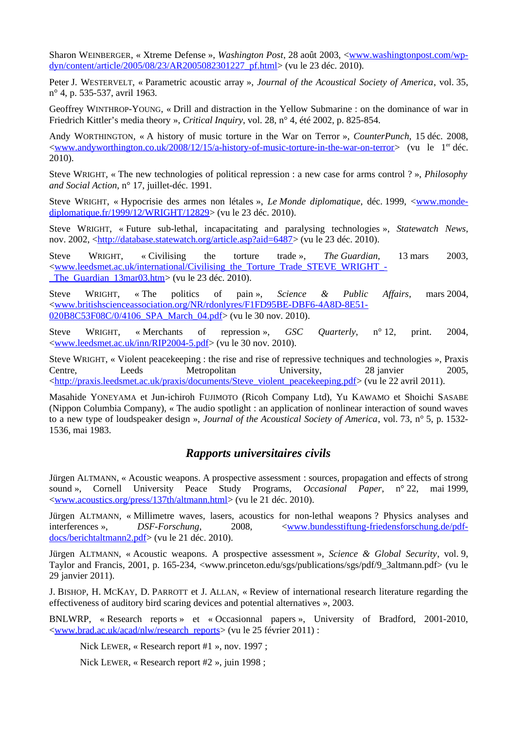Sharon WEINBERGER, « Xtreme Defense », *Washington Post*, 28 août 2003, [<www.washingtonpost.com/wp](http://www.washingtonpost.com/wp-dyn/content/article/2005/08/23/AR2005082301227_pf.html)[dyn/content/article/2005/08/23/AR2005082301227\\_pf.html>](http://www.washingtonpost.com/wp-dyn/content/article/2005/08/23/AR2005082301227_pf.html) (vu le 23 déc. 2010).

Peter J. WESTERVELT, « Parametric acoustic array », *Journal of the Acoustical Society of America*, vol. 35, n° 4, p. 535-537, avril 1963.

Geoffrey WINTHROP-YOUNG, « Drill and distraction in the Yellow Submarine : on the dominance of war in Friedrich Kittler's media theory », *Critical Inquiry*, vol. 28, n° 4, été 2002, p. 825-854.

Andy WORTHINGTON, « A history of music torture in the War on Terror », *CounterPunch*, 15 déc. 2008, [<www.andyworthington.co.uk/2008/12/15/a-history-of-music-torture-in-the-war-on-terror>](http://www.andyworthington.co.uk/2008/12/15/a-history-of-music-torture-in-the-war-on-terror) (vu le 1er déc. 2010).

Steve WRIGHT, « The new technologies of political repression : a new case for arms control ? », *Philosophy and Social Action*, n° 17, juillet-déc. 1991.

Steve WRIGHT, « Hypocrisie des armes non létales », *Le Monde diplomatique*, déc. 1999, [<www.monde](http://www.monde-diplomatique.fr/1999/12/WRIGHT/12829)[diplomatique.fr/1999/12/WRIGHT/12829>](http://www.monde-diplomatique.fr/1999/12/WRIGHT/12829) (vu le 23 déc. 2010).

Steve WRIGHT, « Future sub-lethal, incapacitating and paralysing technologies », *Statewatch News*, nov. 2002, [<http://database.statewatch.org/article.asp?aid=6487>](http://database.statewatch.org/article.asp?aid=6487) (vu le 23 déc. 2010).

Steve WRIGHT, « Civilising the torture trade », *The Guardian*, 13 mars 2003, [<www.leedsmet.ac.uk/international/Civilising\\_the\\_Torture\\_Trade\\_STEVE\\_WRIGHT\\_-](http://www.leedsmet.ac.uk/international/Civilising_the_Torture_Trade_STEVE_WRIGHT_-_The_Guardian_13mar03.htm) The Guardian 13mar03.htm> (vu le 23 déc. 2010).

Steve WRIGHT, « The politics of pain », *Science & Public Affairs*, mars 2004, [<www.britishscienceassociation.org/NR/rdonlyres/F1FD95BE-DBF6-4A8D-8E51-](http://www.britishscienceassociation.org/NR/rdonlyres/F1FD95BE-DBF6-4A8D-8E51-020B8C53F08C/0/4106_SPA_March_04.pdf) 020B8C53F08C/0/4106 SPA March 04.pdf> (vu le 30 nov. 2010).

Steve WRIGHT, « Merchants of repression », *GSC Quarterly*, n° 12, print. 2004, [<www.leedsmet.ac.uk/inn/RIP2004-5.pdf>](http://www.leedsmet.ac.uk/inn/RIP2004-5.pdf) (vu le 30 nov. 2010).

Steve WRIGHT, « Violent peacekeeping : the rise and rise of repressive techniques and technologies », Praxis Centre, Leeds Metropolitan University, 28 janvier 2005, [<http://praxis.leedsmet.ac.uk/praxis/documents/Steve\\_violent\\_peacekeeping.pdf>](http://praxis.leedsmet.ac.uk/praxis/documents/Steve_violent_peacekeeping.pdf) (vu le 22 avril 2011).

Masahide YONEYAMA et Jun-ichiroh FUJIMOTO (Ricoh Company Ltd), Yu KAWAMO et Shoichi SASABE (Nippon Columbia Company), « The audio spotlight : an application of nonlinear interaction of sound waves to a new type of loudspeaker design », *Journal of the Acoustical Society of America*, vol. 73, n° 5, p. 1532- 1536, mai 1983.

# *Rapports universitaires civils*

Jürgen ALTMANN, « Acoustic weapons. A prospective assessment : sources, propagation and effects of strong sound », Cornell University Peace Study Programs, *Occasional Paper*, n° 22, mai 1999, [<www.acoustics.org/press/137th/altmann.html>](http://www.acoustics.org/press/137th/altmann.html) (vu le 21 déc. 2010).

Jürgen ALTMANN, « Millimetre waves, lasers, acoustics for non-lethal weapons ? Physics analyses and interferences », *DSF-Forschung*, 2008, [<www.bundesstiftung-friedensforschung.de/pdf](http://www.bundesstiftung-friedensforschung.de/pdf-docs/berichtaltmann2.pdf)[docs/berichtaltmann2.pdf>](http://www.bundesstiftung-friedensforschung.de/pdf-docs/berichtaltmann2.pdf) (vu le 21 déc. 2010).

Jürgen ALTMANN, « Acoustic weapons. A prospective assessment », *Science & Global Security*, vol. 9, Taylor and Francis, 2001, p. 165-234, <www.princeton.edu/sgs/publications/sgs/pdf/9\_3altmann.pdf> (vu le 29 janvier 2011).

J. BISHOP, H. MCKAY, D. PARROTT et J. ALLAN, « Review of international research literature regarding the effectiveness of auditory bird scaring devices and potential alternatives », 2003.

BNLWRP, « Research reports » et « Occasionnal papers », University of Bradford, 2001-2010, [<www.brad.ac.uk/acad/nlw/research\\_reports>](http://www.brad.ac.uk/acad/nlw/research_reports) (vu le 25 février 2011) :

Nick LEWER, « Research report #1 », nov. 1997 ;

Nick LEWER, « Research report #2 », juin 1998 ;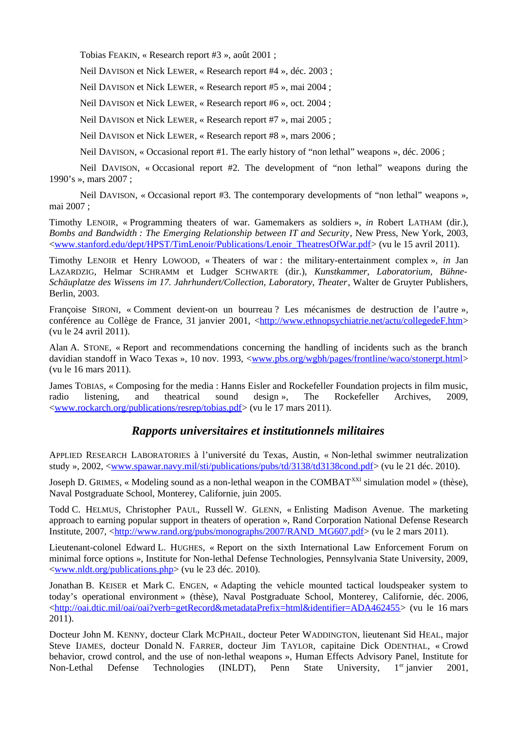Tobias FEAKIN, « Research report #3 », août 2001 ;

Neil DAVISON et Nick LEWER, « Research report #4 », déc. 2003 ;

Neil DAVISON et Nick LEWER, « Research report #5 », mai 2004 ;

Neil DAVISON et Nick LEWER, « Research report #6 », oct. 2004 ;

Neil DAVISON et Nick LEWER, « Research report #7 », mai 2005 ;

Neil DAVISON et Nick LEWER, « Research report #8 », mars 2006 ;

Neil DAVISON, « Occasional report #1. The early history of "non lethal" weapons », déc. 2006 ;

Neil DAVISON, « Occasional report #2. The development of "non lethal" weapons during the 1990's », mars 2007 ;

Neil DAVISON, « Occasional report #3. The contemporary developments of "non lethal" weapons », mai 2007 ;

Timothy LENOIR, « Programming theaters of war. Gamemakers as soldiers », *in* Robert LATHAM (dir.), *Bombs and Bandwidth : The Emerging Relationship between IT and Security*, New Press, New York, 2003, [<www.stanford.edu/dept/HPST/TimLenoir/Publications/Lenoir\\_TheatresOfWar.pdf>](http://www.stanford.edu/dept/HPST/TimLenoir/Publications/Lenoir_TheatresOfWar.pdf) (vu le 15 avril 2011).

Timothy LENOIR et Henry LOWOOD, « Theaters of war : the military-entertainment complex », *in* Jan LAZARDZIG, Helmar SCHRAMM et Ludger SCHWARTE (dir.), *Kunstkammer, Laboratorium, Bühne-Schäuplatze des Wissens im 17. Jahrhundert/Collection, Laboratory, Theater*, Walter de Gruyter Publishers, Berlin, 2003.

Françoise SIRONI, « Comment devient-on un bourreau ? Les mécanismes de destruction de l'autre », conférence au Collège de France, 31 janvier 2001, [<http://www.ethnopsychiatrie.net/actu/collegedeF.htm>](http://www.ethnopsychiatrie.net/actu/collegedeF.htm) (vu le 24 avril 2011).

Alan A. STONE, « Report and recommendations concerning the handling of incidents such as the branch davidian standoff in Waco Texas », 10 nov. 1993, [<www.pbs.org/wgbh/pages/frontline/waco/stonerpt.html>](http://www.pbs.org/wgbh/pages/frontline/waco/stonerpt.html) (vu le 16 mars 2011).

James TOBIAS, « Composing for the media : Hanns Eisler and Rockefeller Foundation projects in film music, radio listening, and theatrical sound design », The Rockefeller Archives, 2009, [<www.rockarch.org/publications/resrep/tobias.pdf>](http://www.rockarch.org/publications/resrep/tobias.pdf) (vu le 17 mars 2011).

# *Rapports universitaires et institutionnels militaires*

APPLIED RESEARCH LABORATORIES à l'université du Texas, Austin, « Non-lethal swimmer neutralization study », 2002, [<www.spawar.navy.mil/sti/publications/pubs/td/3138/td3138cond.pdf>](http://www.spawar.navy.mil/sti/publications/pubs/td/3138/td3138cond.pdf) (vu le 21 déc. 2010).

Joseph D. GRIMES, « Modeling sound as a non-lethal weapon in the COMBAT<sup>XXI</sup> simulation model » (thèse), Naval Postgraduate School, Monterey, Californie, juin 2005.

Todd C. HELMUS, Christopher PAUL, Russell W. GLENN, « Enlisting Madison Avenue. The marketing approach to earning popular support in theaters of operation », Rand Corporation National Defense Research Institute, 2007, [<http://www.rand.org/pubs/monographs/2007/RAND\\_MG607.pdf>](http://www.rand.org/pubs/monographs/2007/RAND_MG607.pdf) (vu le 2 mars 2011).

Lieutenant-colonel Edward L. HUGHES, « Report on the sixth International Law Enforcement Forum on minimal force options », Institute for Non-lethal Defense Technologies, Pennsylvania State University, 2009, [<www.nldt.org/publications.php>](http://www.nldt.org/publications.php) (vu le 23 déc. 2010).

Jonathan B. KEISER et Mark C. ENGEN, « Adapting the vehicle mounted tactical loudspeaker system to today's operational environment » (thèse), Naval Postgraduate School, Monterey, Californie, déc. 2006, [<http://oai.dtic.mil/oai/oai?verb=getRecord&metadataPrefix=html&identifier=ADA462455>](http://oai.dtic.mil/oai/oai?verb=getRecord&metadataPrefix=html&identifier=ADA462455) (vu le 16 mars 2011).

Docteur John M. KENNY, docteur Clark MCPHAIL, docteur Peter WADDINGTON, lieutenant Sid HEAL, major Steve IJAMES, docteur Donald N. FARRER, docteur Jim TAYLOR, capitaine Dick ODENTHAL, « Crowd behavior, crowd control, and the use of non-lethal weapons », Human Effects Advisory Panel, Institute for Non-Lethal Defense Technologies (INLDT), Penn State University, 1<sup>er</sup> janvier 2001,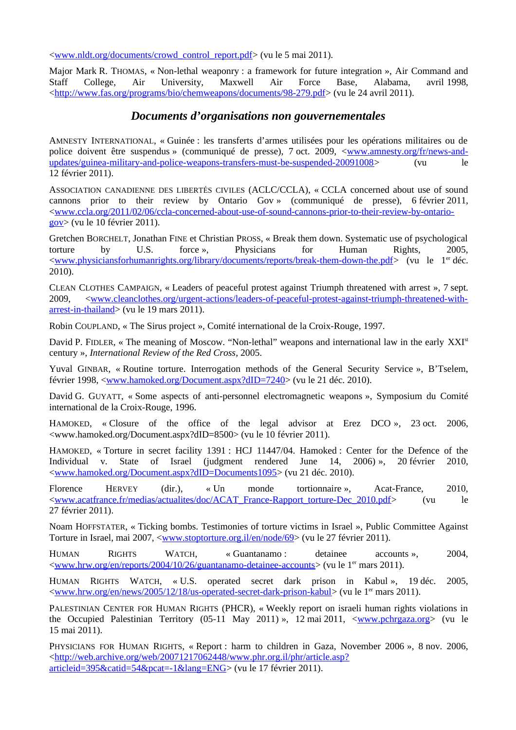[<www.nldt.org/documents/crowd\\_control\\_report.pdf>](http://www.nldt.org/documents/crowd_control_report.pdf) (vu le 5 mai 2011).

Major Mark R. THOMAS, « Non-lethal weaponry : a framework for future integration », Air Command and Staff College, Air University, Maxwell Air Force Base, Alabama, avril 1998, [<http://www.fas.org/programs/bio/chemweapons/documents/98-279.pdf>](http://www.fas.org/programs/bio/chemweapons/documents/98-279.pdf) (vu le 24 avril 2011).

# *Documents d'organisations non gouvernementales*

AMNESTY INTERNATIONAL, « Guinée : les transferts d'armes utilisées pour les opérations militaires ou de police doivent être suspendus » (communiqué de presse), 7 oct. 2009, [<www.amnesty.org/fr/news-and](http://www.amnesty.org/fr/news-and-updates/guinea-military-and-police-weapons-transfers-must-be-suspended-20091008)[updates/guinea-military-and-police-weapons-transfers-must-be-suspended-20091008>](http://www.amnesty.org/fr/news-and-updates/guinea-military-and-police-weapons-transfers-must-be-suspended-20091008) (vu le 12 février 2011).

ASSOCIATION CANADIENNE DES LIBERTÉS CIVILES (ACLC/CCLA), « CCLA concerned about use of sound cannons prior to their review by Ontario Gov » (communiqué de presse), 6 février 2011, [<www.ccla.org/2011/02/06/ccla-concerned-about-use-of-sound-cannons-prior-to-their-review-by-ontario](http://www.ccla.org/2011/02/06/ccla-concerned-about-use-of-sound-cannons-prior-to-their-review-by-ontario-gov)[gov>](http://www.ccla.org/2011/02/06/ccla-concerned-about-use-of-sound-cannons-prior-to-their-review-by-ontario-gov) (vu le 10 février 2011).

Gretchen BORCHELT, Jonathan FINE et Christian PROSS, « Break them down. Systematic use of psychological torture by U.S. force », Physicians for Human Rights, 2005, [<www.physiciansforhumanrights.org/library/documents/reports/break-them-down-the.pdf>](http://www.physiciansforhumanrights.org/library/documents/reports/break-them-down-the.pdf) (vu le 1<sup>er</sup> déc. 2010).

CLEAN CLOTHES CAMPAIGN, « Leaders of peaceful protest against Triumph threatened with arrest », 7 sept. 2009, [<www.cleanclothes.org/urgent-actions/leaders-of-peaceful-protest-against-triumph-threatened-with](http://www.cleanclothes.org/urgent-actions/leaders-of-peaceful-protest-against-triumph-threatened-with-arrest-in-thailand)[arrest-in-thailand>](http://www.cleanclothes.org/urgent-actions/leaders-of-peaceful-protest-against-triumph-threatened-with-arrest-in-thailand) (vu le 19 mars 2011).

Robin COUPLAND, « The Sirus project », Comité international de la Croix-Rouge, 1997.

David P. FIDLER, « The meaning of Moscow. "Non-lethal" weapons and international law in the early XXI<sup>st</sup> century », *International Review of the Red Cross*, 2005.

Yuval GINBAR, « Routine torture. Interrogation methods of the General Security Service », B'Tselem, février 1998, [<www.hamoked.org/Document.aspx?dID=7240>](http://www.hamoked.org/Document.aspx?dID=7240) (vu le 21 déc. 2010).

David G. GUYATT, « Some aspects of anti-personnel electromagnetic weapons », Symposium du Comité international de la Croix-Rouge, 1996.

HAMOKED, « Closure of the office of the legal advisor at Erez DCO », 23 oct. 2006, <www.hamoked.org/Document.aspx?dID=8500> (vu le 10 février 2011).

HAMOKED, « Torture in secret facility 1391 : HCJ 11447/04. Hamoked : Center for the Defence of the Individual v. State of Israel (judgment rendered June 14, 2006) », 20 février 2010, [<www.hamoked.org/Document.aspx?dID=Documents1095>](http://www.hamoked.org/Document.aspx?dID=Documents1095) (vu 21 déc. 2010).

Florence HERVEY (dir.), « Un monde tortionnaire », Acat-France, 2010, [<www.acatfrance.fr/medias/actualites/doc/ACAT\\_France-Rapport\\_torture-Dec\\_2010.pdf>](http://www.acatfrance.fr/medias/actualites/doc/ACAT_France-Rapport_torture-Dec_2010.pdf) (vu le 27 février 2011).

Noam HOFFSTATER, « Ticking bombs. Testimonies of torture victims in Israel », Public Committee Against Torture in Israel, mai 2007, [<www.stoptorture.org.il/en/node/69>](http://www.stoptorture.org.il/en/node/69) (vu le 27 février 2011).

HUMAN RIGHTS WATCH, « Guantanamo : detainee accounts », 2004,  $\langle$ www.hrw.org/en/reports/2004/10/26/guantanamo-detainee-accounts> (vu le 1<sup>er</sup> mars 2011).

HUMAN RIGHTS WATCH, « U.S. operated secret dark prison in Kabul », 19 déc. 2005, [<www.hrw.org/en/news/2005/12/18/us-operated-secret-dark-prison-kabul>](http://www.hrw.org/en/news/2005/12/18/us-operated-secret-dark-prison-kabul) (vu le 1er mars 2011).

PALESTINIAN CENTER FOR HUMAN RIGHTS (PHCR), « Weekly report on israeli human rights violations in the Occupied Palestinian Territory (05-11 May 2011) », 12 mai 2011, [<www.pchrgaza.org>](http://www.pchrgaza.org/) (vu le 15 mai 2011).

PHYSICIANS FOR HUMAN RIGHTS, « Report : harm to children in Gaza, November 2006 », 8 nov. 2006, [<http://web.archive.org/web/20071217062448/www.phr.org.il/phr/article.asp?](http://web.archive.org/web/20071217062448/www.phr.org.il/phr/article.asp?articleid=395&catid=54&pcat=-1&lang=ENG) [articleid=395&catid=54&pcat=-1&lang=ENG>](http://web.archive.org/web/20071217062448/www.phr.org.il/phr/article.asp?articleid=395&catid=54&pcat=-1&lang=ENG) (vu le 17 février 2011).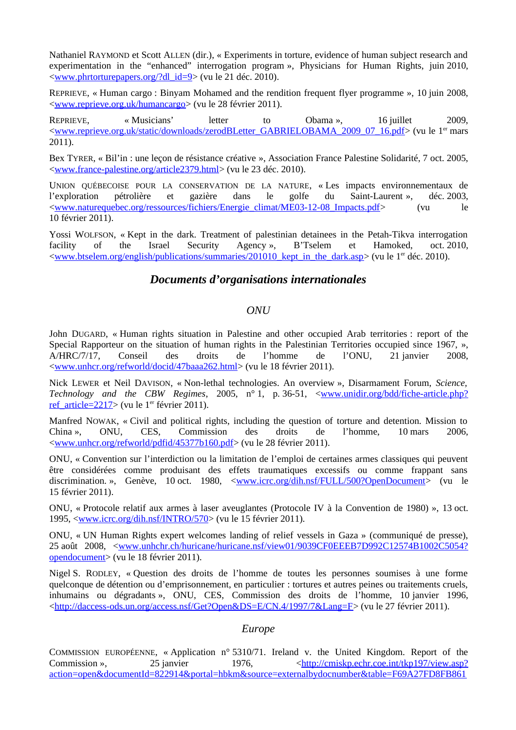Nathaniel RAYMOND et Scott ALLEN (dir.), « Experiments in torture, evidence of human subject research and experimentation in the "enhanced" interrogation program », Physicians for Human Rights, juin 2010, [<www.phrtorturepapers.org/?dl\\_id=9>](http://www.phrtorturepapers.org/?dl_id=9) (vu le 21 déc. 2010).

REPRIEVE, « Human cargo : Binyam Mohamed and the rendition frequent flyer programme », 10 juin 2008, [<www.reprieve.org.uk/humancargo>](http://www.reprieve.org.uk/humancargo) (vu le 28 février 2011).

REPRIEVE, «Musicians' letter to Obama », 16 juillet 2009, [<www.reprieve.org.uk/static/downloads/zerodBLetter\\_GABRIELOBAMA\\_2009\\_07\\_16.pdf>](http://www.reprieve.org.uk/static/downloads/zerodBLetter_GABRIELOBAMA_2009_07_16.pdf) (vu le 1er mars 2011).

Bex TYRER, « Bil'in : une leçon de résistance créative », Association France Palestine Solidarité, 7 oct. 2005, [<www.france-palestine.org/article2379.html>](http://www.france-palestine.org/article2379.html) (vu le 23 déc. 2010).

UNION QUÉBECOISE POUR LA CONSERVATION DE LA NATURE, « Les impacts environnementaux de l'exploration pétrolière et gazière dans le golfe du Saint-Laurent », déc. 2003, [<www.naturequebec.org/ressources/fichiers/Energie\\_climat/ME03-12-08\\_Impacts.pdf>](http://www.naturequebec.org/ressources/fichiers/Energie_climat/ME03-12-08_Impacts.pdf) (vu le 10 février 2011).

Yossi WOLFSON, « Kept in the dark. Treatment of palestinian detainees in the Petah-Tikva interrogation facility of the Israel Security Agency », B'Tselem et Hamoked, oct. 2010, [<www.btselem.org/english/publications/summaries/201010\\_kept\\_in\\_the\\_dark.asp>](http://www.btselem.org/english/publications/summaries/201010_kept_in_the_dark.asp) (vu le 1er déc. 2010).

# *Documents d'organisations internationales*

#### *ONU*

John DUGARD, « Human rights situation in Palestine and other occupied Arab territories : report of the Special Rapporteur on the situation of human rights in the Palestinian Territories occupied since 1967, », A/HRC/7/17, Conseil des droits de l'homme de l'ONU, 21 janvier 2008, [<www.unhcr.org/refworld/docid/47baaa262.html>](http://www.unhcr.org/refworld/docid/47baaa262.html) (vu le 18 février 2011).

Nick LEWER et Neil DAVISON, « Non-lethal technologies. An overview », Disarmament Forum, *Science, Technology and the CBW Regimes*, 2005, n° 1, p. 36-51, [<www.unidir.org/bdd/fiche-article.php?](http://www.unidir.org/bdd/fiche-article.php?ref_article=2217) [ref\\_article=2217>](http://www.unidir.org/bdd/fiche-article.php?ref_article=2217) (vu le 1<sup>er</sup> février 2011).

Manfred NOWAK, « Civil and political rights, including the question of torture and detention. Mission to China », ONU, CES, Commission des droits de l'homme, 10 mars 2006, [<www.unhcr.org/refworld/pdfid/45377b160.pdf>](http://www.unhcr.org/refworld/pdfid/45377b160.pdf) (vu le 28 février 2011).

ONU, « Convention sur l'interdiction ou la limitation de l'emploi de certaines armes classiques qui peuvent être considérées comme produisant des effets traumatiques excessifs ou comme frappant sans discrimination. », Genève, 10 oct. 1980, [<www.icrc.org/dih.nsf/FULL/500?OpenDocument>](http://www.icrc.org/dih.nsf/FULL/500?OpenDocument) (vu le 15 février 2011).

ONU, « Protocole relatif aux armes à laser aveuglantes (Protocole IV à la Convention de 1980) », 13 oct. 1995, [<www.icrc.org/dih.nsf/INTRO/570>](http://www.icrc.org/dih.nsf/INTRO/570) (vu le 15 février 2011).

ONU, « UN Human Rights expert welcomes landing of relief vessels in Gaza » (communiqué de presse), 25 août 2008, [<www.unhchr.ch/huricane/huricane.nsf/view01/9039CF0EEEB7D992C12574B1002C5054?](http://www.unhchr.ch/huricane/huricane.nsf/view01/9039CF0EEEB7D992C12574B1002C5054?opendocument) [opendocument>](http://www.unhchr.ch/huricane/huricane.nsf/view01/9039CF0EEEB7D992C12574B1002C5054?opendocument) (vu le 18 février 2011).

Nigel S. RODLEY, « Question des droits de l'homme de toutes les personnes soumises à une forme quelconque de détention ou d'emprisonnement, en particulier : tortures et autres peines ou traitements cruels, inhumains ou dégradants », ONU, CES, Commission des droits de l'homme, 10 janvier 1996, [<http://daccess-ods.un.org/access.nsf/Get?Open&DS=E/CN.4/1997/7&Lang=F>](http://daccess-ods.un.org/access.nsf/Get?Open&DS=E/CN.4/1997/7&Lang=F) (vu le 27 février 2011).

### *Europe*

COMMISSION EUROPÉENNE, « Application n° 5310/71. Ireland v. the United Kingdom. Report of the Commission », 25 janvier 1976, kttp://cmiskp.echr.coe.int/tkp197/view.asp? [action=open&documentId=822914&portal=hbkm&source=externalbydocnumber&table=F69A27FD8FB861](http://cmiskp.echr.coe.int/tkp197/view.asp?action=open&documentId=822914&portal=hbkm&source=externalbydocnumber&table=F69A27FD8FB86142BF01C1166DEA398649)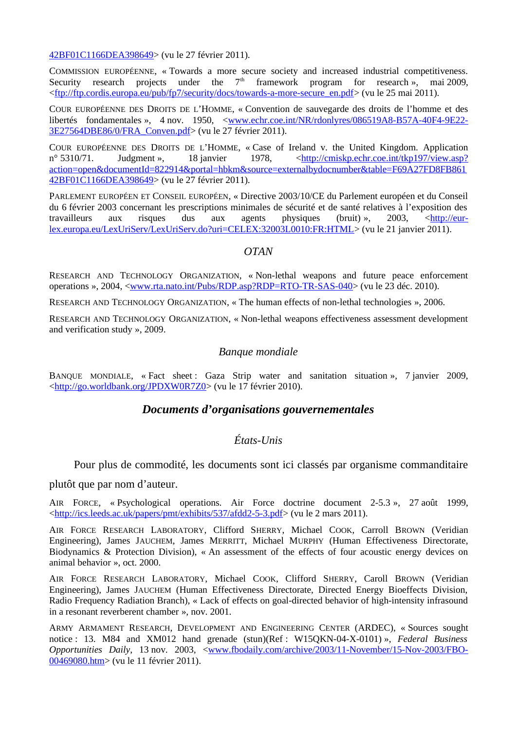[42BF01C1166DEA398649>](http://cmiskp.echr.coe.int/tkp197/view.asp?action=open&documentId=822914&portal=hbkm&source=externalbydocnumber&table=F69A27FD8FB86142BF01C1166DEA398649) (vu le 27 février 2011).

COMMISSION EUROPÉENNE, « Towards a more secure society and increased industrial competitiveness.<br>Security research proiects under the  $7<sup>th</sup>$  framework program for research », mai 2009. framework program for research », mai 2009, [<ftp://ftp.cordis.europa.eu/pub/fp7/security/docs/towards-a-more-secure\\_en.pdf>](ftp://ftp.cordis.europa.eu/pub/fp7/security/docs/towards-a-more-secure_en.pdf) (vu le 25 mai 2011).

COUR EUROPÉENNE DES DROITS DE L'HOMME, « Convention de sauvegarde des droits de l'homme et des libertés fondamentales », 4 nov. 1950, [<www.echr.coe.int/NR/rdonlyres/086519A8-B57A-40F4-9E22-](http://www.echr.coe.int/NR/rdonlyres/086519A8-B57A-40F4-9E22-3E27564DBE86/0/FRA_Conven.pdf) [3E27564DBE86/0/FRA\\_Conven.pdf>](http://www.echr.coe.int/NR/rdonlyres/086519A8-B57A-40F4-9E22-3E27564DBE86/0/FRA_Conven.pdf) (vu le 27 février 2011).

COUR EUROPÉENNE DES DROITS DE L'HOMME, « Case of Ireland v. the United Kingdom. Application n° 5310/71. Judgment », 18 janvier 1978, [<http://cmiskp.echr.coe.int/tkp197/view.asp?](http://cmiskp.echr.coe.int/tkp197/view.asp?action=open&documentId=822914&portal=hbkm&source=externalbydocnumber&table=F69A27FD8FB86142BF01C1166DEA398649) [action=open&documentId=822914&portal=hbkm&source=externalbydocnumber&table=F69A27FD8FB861](http://cmiskp.echr.coe.int/tkp197/view.asp?action=open&documentId=822914&portal=hbkm&source=externalbydocnumber&table=F69A27FD8FB86142BF01C1166DEA398649) [42BF01C1166DEA398649>](http://cmiskp.echr.coe.int/tkp197/view.asp?action=open&documentId=822914&portal=hbkm&source=externalbydocnumber&table=F69A27FD8FB86142BF01C1166DEA398649) (vu le 27 février 2011).

PARLEMENT EUROPÉEN ET CONSEIL EUROPÉEN, « Directive 2003/10/CE du Parlement européen et du Conseil du 6 février 2003 concernant les prescriptions minimales de sécurité et de santé relatives à l'exposition des travailleurs aux risques dus aux agents physiques (bruit)», 2003, <<u>http://eur-</u> [lex.europa.eu/LexUriServ/LexUriServ.do?uri=CELEX:32003L0010:FR:HTML>](http://eur-lex.europa.eu/LexUriServ/LexUriServ.do?uri=CELEX:32003L0010:FR:HTML) (vu le 21 janvier 2011).

#### *OTAN*

RESEARCH AND TECHNOLOGY ORGANIZATION, « Non-lethal weapons and future peace enforcement operations », 2004, [<www.rta.nato.int/Pubs/RDP.asp?RDP=RTO-TR-SAS-040>](http://www.rta.nato.int/Pubs/RDP.asp?RDP=RTO-TR-SAS-040) (vu le 23 déc. 2010).

RESEARCH AND TECHNOLOGY ORGANIZATION, « The human effects of non-lethal technologies », 2006.

RESEARCH AND TECHNOLOGY ORGANIZATION, « Non-lethal weapons effectiveness assessment development and verification study », 2009.

#### *Banque mondiale*

BANQUE MONDIALE, « Fact sheet : Gaza Strip water and sanitation situation », 7 janvier 2009, [<http://go.worldbank.org/JPDXW0R7Z0>](http://go.worldbank.org/JPDXW0R7Z0) (vu le 17 février 2010).

### *Documents d'organisations gouvernementales*

### *États-Unis*

Pour plus de commodité, les documents sont ici classés par organisme commanditaire

plutôt que par nom d'auteur.

AIR FORCE, « Psychological operations. Air Force doctrine document 2-5.3 », 27 août 1999, [<http://ics.leeds.ac.uk/papers/pmt/exhibits/537/afdd2-5-3.pdf>](http://ics.leeds.ac.uk/papers/pmt/exhibits/537/afdd2-5-3.pdf) (vu le 2 mars 2011).

AIR FORCE RESEARCH LABORATORY, Clifford SHERRY, Michael COOK, Carroll BROWN (Veridian Engineering), James JAUCHEM, James MERRITT, Michael MURPHY (Human Effectiveness Directorate, Biodynamics & Protection Division), « An assessment of the effects of four acoustic energy devices on animal behavior », oct. 2000.

AIR FORCE RESEARCH LABORATORY, Michael COOK, Clifford SHERRY, Caroll BROWN (Veridian Engineering), James JAUCHEM (Human Effectiveness Directorate, Directed Energy Bioeffects Division, Radio Frequency Radiation Branch), « Lack of effects on goal-directed behavior of high-intensity infrasound in a resonant reverberent chamber », nov. 2001.

ARMY ARMAMENT RESEARCH, DEVELOPMENT AND ENGINEERING CENTER (ARDEC), « Sources sought notice : 13. M84 and XM012 hand grenade (stun)(Ref : W15QKN-04-X-0101) », *Federal Business Opportunities Daily*, 13 nov. 2003, [<www.fbodaily.com/archive/2003/11-November/15-Nov-2003/FBO-](http://www.fbodaily.com/archive/2003/11-November/15-Nov-2003/FBO-00469080.htm)[00469080.htm>](http://www.fbodaily.com/archive/2003/11-November/15-Nov-2003/FBO-00469080.htm) (vu le 11 février 2011).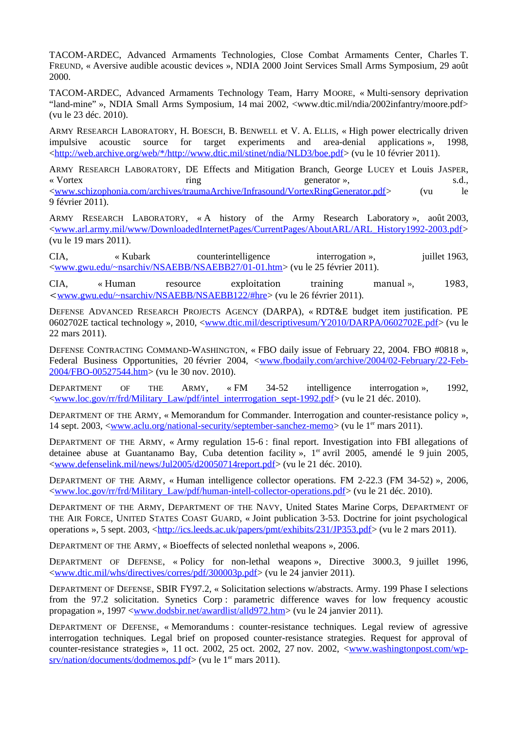TACOM-ARDEC, Advanced Armaments Technologies, Close Combat Armaments Center, Charles T. FREUND, « Aversive audible acoustic devices », NDIA 2000 Joint Services Small Arms Symposium, 29 août 2000.

TACOM-ARDEC, Advanced Armaments Technology Team, Harry MOORE, « Multi-sensory deprivation "land-mine" », NDIA Small Arms Symposium, 14 mai 2002, <www.dtic.mil/ndia/2002infantry/moore.pdf> (vu le 23 déc. 2010).

ARMY RESEARCH LABORATORY, H. BOESCH, B. BENWELL et V. A. ELLIS, « High power electrically driven impulsive acoustic source for target experiments and area-denial applications », 1998, [<http://web.archive.org/web/\\*/http://www.dtic.mil/stinet/ndia/NLD3/boe.pdf>](http://web.archive.org/web/*/http://www.dtic.mil/stinet/ndia/NLD3/boe.pdf) (vu le 10 février 2011).

ARMY RESEARCH LABORATORY, DE Effects and Mitigation Branch, George LUCEY et Louis JASPER, « Vortex metal ring metal ring states are sense in the sense of the sense of the sense in the sense in the sense in the sense in the sense in the sense in the sense in the sense in the sense in the sense in the sense in th [<www.schizophonia.com/archives/traumaArchive/Infrasound/VortexRingGenerator.pdf>](http://www.schizophonia.com/archives/traumaArchive/Infrasound/VortexRingGenerator.pdf) (vu le 9 février 2011).

ARMY RESEARCH LABORATORY, « A history of the Army Research Laboratory », août 2003, [<www.arl.army.mil/www/DownloadedInternetPages/CurrentPages/AboutARL/ARL\\_History1992-2003.pdf>](http://www.arl.army.mil/www/DownloadedInternetPages/CurrentPages/AboutARL/ARL_History1992-2003.pdf) (vu le 19 mars 2011).

CIA, « Kubark counterintelligence interrogation », juillet 1963, [<www.gwu.edu/~nsarchiv/NSAEBB/NSAEBB27/01-01.htm>](http://www.gwu.edu/~nsarchiv/NSAEBB/NSAEBB27/01-01.htm) (vu le 25 février 2011).

CIA, « Human resource exploitation training manual », 1983, <[www.gwu.edu/~nsarchiv/NSAEBB/NSAEBB122/#hre>](http://www.gwu.edu/~nsarchiv/NSAEBB/NSAEBB122/#hre) (vu le 26 février 2011).

DEFENSE ADVANCED RESEARCH PROJECTS AGENCY (DARPA), « RDT&E budget item justification. PE 0602702E tactical technology », 2010, [<www.dtic.mil/descriptivesum/Y2010/DARPA/0602702E.pdf>](http://www.dtic.mil/descriptivesum/Y2010/DARPA/0602702E.pdf) (vu le 22 mars 2011).

DEFENSE CONTRACTING COMMAND-WASHINGTON, « FBO daily issue of February 22, 2004. FBO #0818 », Federal Business Opportunities, 20 février 2004, [<www.fbodaily.com/archive/2004/02-February/22-Feb-](http://www.fbodaily.com/archive/2004/02-February/22-Feb-2004/FBO-00527544.htm)[2004/FBO-00527544.htm>](http://www.fbodaily.com/archive/2004/02-February/22-Feb-2004/FBO-00527544.htm) (vu le 30 nov. 2010).

DEPARTMENT OF THE ARMY, « FM 34-52 intelligence interrogation », 1992, [<www.loc.gov/rr/frd/Military\\_Law/pdf/intel\\_interrrogation\\_sept-1992.pdf>](http://www.loc.gov/rr/frd/Military_Law/pdf/intel_interrrogation_sept-1992.pdf) (vu le 21 déc. 2010).

DEPARTMENT OF THE ARMY, « Memorandum for Commander. Interrogation and counter-resistance policy », 14 sept. 2003, [<www.aclu.org/national-security/september-sanchez-memo>](http://www.aclu.org/national-security/september-sanchez-memo) (vu le 1er mars 2011).

DEPARTMENT OF THE ARMY, « Army regulation 15-6 : final report. Investigation into FBI allegations of detainee abuse at Guantanamo Bay, Cuba detention facility », 1<sup>er</sup> avril 2005, amendé le 9 juin 2005, [<www.defenselink.mil/news/Jul2005/d20050714report.pdf>](http://www.defenselink.mil/news/Jul2005/d20050714report.pdf) (vu le 21 déc. 2010).

DEPARTMENT OF THE ARMY, « Human intelligence collector operations. FM 2-22.3 (FM 34-52) », 2006, [<www.loc.gov/rr/frd/Military\\_Law/pdf/human-intell-collector-operations.pdf>](http://www.loc.gov/rr/frd/Military_Law/pdf/human-intell-collector-operations.pdf) (vu le 21 déc. 2010).

DEPARTMENT OF THE ARMY, DEPARTMENT OF THE NAVY, United States Marine Corps, DEPARTMENT OF THE AIR FORCE, UNITED STATES COAST GUARD, « Joint publication 3-53. Doctrine for joint psychological operations », 5 sept. 2003, [<http://ics.leeds.ac.uk/papers/pmt/exhibits/231/JP353.pdf>](http://ics.leeds.ac.uk/papers/pmt/exhibits/231/JP353.pdf) (vu le 2 mars 2011).

DEPARTMENT OF THE ARMY, « Bioeffects of selected nonlethal weapons », 2006.

DEPARTMENT OF DEFENSE, « Policy for non-lethal weapons », Directive 3000.3, 9 juillet 1996, [<www.dtic.mil/whs/directives/corres/pdf/300003p.pdf>](http://www.dtic.mil/whs/directives/corres/pdf/300003p.pdf) (vu le 24 janvier 2011).

DEPARTMENT OF DEFENSE, SBIR FY97.2, « Solicitation selections w/abstracts. Army. 199 Phase I selections from the 97.2 solicitation. Synetics Corp : parametric difference waves for low frequency acoustic propagation », 1997 [<www.dodsbir.net/awardlist/alld972.htm>](http://www.dodsbir.net/awardlist/alld972.htm) (vu le 24 janvier 2011).

DEPARTMENT OF DEFENSE, « Memorandums : counter-resistance techniques. Legal review of agressive interrogation techniques. Legal brief on proposed counter-resistance strategies. Request for approval of counter-resistance strategies », 11 oct. 2002, 25 oct. 2002, 27 nov. 2002, [<www.washingtonpost.com/wp](http://www.washingtonpost.com/wp-srv/nation/documents/dodmemos.pdf)[srv/nation/documents/dodmemos.pdf>](http://www.washingtonpost.com/wp-srv/nation/documents/dodmemos.pdf) (vu le 1<sup>er</sup> mars 2011).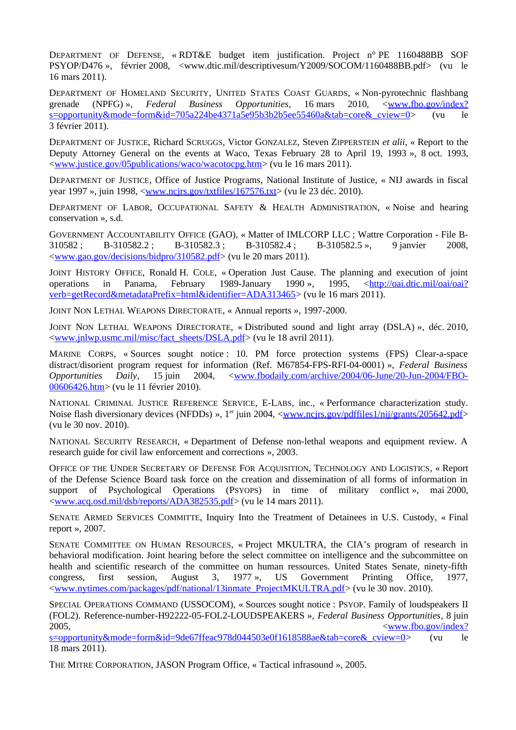DEPARTMENT OF DEFENSE, « RDT&E budget item justification. Project n° PE 1160488BB SOF PSYOP/D476 », février 2008, <www.dtic.mil/descriptivesum/Y2009/SOCOM/1160488BB.pdf> (vu le 16 mars 2011).

DEPARTMENT OF HOMELAND SECURITY, UNITED STATES COAST GUARDS, « Non-pyrotechnic flashbang grenade (NPFG) », *Federal Business Opportunities*, 16 mars 2010, [<www.fbo.gov/index?](http://www.fbo.gov/index?s=opportunity&mode=form&id=705a224be4371a5e95b3b2b5ee55460a&tab=core&_cview=0) [s=opportunity&mode=form&id=705a224be4371a5e95b3b2b5ee55460a&tab=core&\\_cview=0>](http://www.fbo.gov/index?s=opportunity&mode=form&id=705a224be4371a5e95b3b2b5ee55460a&tab=core&_cview=0) (vu le 3 février 2011).

DEPARTMENT OF JUSTICE, Richard SCRUGGS, Victor GONZALEZ, Steven ZIPPERSTEIN *et alii*, « Report to the Deputy Attorney General on the events at Waco, Texas February 28 to April 19, 1993 », 8 oct. 1993, [<www.justice.gov/05publications/waco/wacotocpg.htm>](http://www.justice.gov/05publications/waco/wacotocpg.htm) (vu le 16 mars 2011).

DEPARTMENT OF JUSTICE, Office of Justice Programs, National Institute of Justice, « NIJ awards in fiscal year 1997 », juin 1998, <<u>www.ncjrs.gov/txtfiles/167576.txt</u>> (vu le 23 déc. 2010).

DEPARTMENT OF LABOR, OCCUPATIONAL SAFETY & HEALTH ADMINISTRATION, « Noise and hearing conservation », s.d.

GOVERNMENT ACCOUNTABILITY OFFICE (GAO), « Matter of IMLCORP LLC ; Wattre Corporation - File B-310582 ; B-310582.2 ; B-310582.3 ; B-310582.4 ; B-310582.5 », 9 janvier 2008, [<www.gao.gov/decisions/bidpro/310582.pdf>](http://www.gao.gov/decisions/bidpro/310582.pdf) (vu le 20 mars 2011).

JOINT HISTORY OFFICE, Ronald H. COLE, « Operation Just Cause. The planning and execution of joint operations in Panama, February 1989-January 1990 », 1995, [<http://oai.dtic.mil/oai/oai?](http://oai.dtic.mil/oai/oai?verb=getRecord&metadataPrefix=html&identifier=ADA313465) [verb=getRecord&metadataPrefix=html&identifier=ADA313465>](http://oai.dtic.mil/oai/oai?verb=getRecord&metadataPrefix=html&identifier=ADA313465) (vu le 16 mars 2011).

JOINT NON LETHAL WEAPONS DIRECTORATE, « Annual reports », 1997-2000.

JOINT NON LETHAL WEAPONS DIRECTORATE, « Distributed sound and light array (DSLA) », déc. 2010, [<www.jnlwp.usmc.mil/misc/fact\\_sheets/DSLA.pdf>](http://www.jnlwp.usmc.mil/misc/fact_sheets/DSLA.pdf) (vu le 18 avril 2011).

MARINE CORPS, « Sources sought notice : 10. PM force protection systems (FPS) Clear-a-space distract/disorient program request for information (Ref. M67854-FPS-RFI-04-0001) », *Federal Business Opportunities Daily*, 15 juin 2004, [<www.fbodaily.com/archive/2004/06-June/20-Jun-2004/FBO-](http://www.fbodaily.com/archive/2004/06-June/20-Jun-2004/FBO-00606426.htm)[00606426.htm>](http://www.fbodaily.com/archive/2004/06-June/20-Jun-2004/FBO-00606426.htm) (vu le 11 février 2010).

NATIONAL CRIMINAL JUSTICE REFERENCE SERVICE, E-LABS, inc., « Performance characterization study. Noise flash diversionary devices (NFDDs) », 1<sup>er</sup> juin 2004, [<www.ncjrs.gov/pdffiles1/nij/grants/205642.pdf>](http://www.ncjrs.gov/pdffiles1/nij/grants/205642.pdf) (vu le 30 nov. 2010).

NATIONAL SECURITY RESEARCH, « Department of Defense non-lethal weapons and equipment review. A research guide for civil law enforcement and corrections », 2003.

OFFICE OF THE UNDER SECRETARY OF DEFENSE FOR ACQUISITION, TECHNOLOGY AND LOGISTICS, « Report of the Defense Science Board task force on the creation and dissemination of all forms of information in support of Psychological Operations (PSYOPS) in time of military conflict », mai 2000, [<www.acq.osd.mil/dsb/reports/ADA382535.pdf>](http://www.acq.osd.mil/dsb/reports/ADA382535.pdf) (vu le 14 mars 2011).

SENATE ARMED SERVICES COMMITTE, Inquiry Into the Treatment of Detainees in U.S. Custody, « Final report », 2007.

SENATE COMMITTEE ON HUMAN RESOURCES, « Project MKULTRA, the CIA's program of research in behavioral modification. Joint hearing before the select committee on intelligence and the subcommittee on health and scientific research of the committee on human ressources. United States Senate, ninety-fifth congress, first session, August 3, 1977 », US Government Printing Office, 1977, [<www.nytimes.com/packages/pdf/national/13inmate\\_ProjectMKULTRA.pdf>](http://www.nytimes.com/packages/pdf/national/13inmate_ProjectMKULTRA.pdf) (vu le 30 nov. 2010).

SPECIAL OPERATIONS COMMAND (USSOCOM), « Sources sought notice : PSYOP. Family of loudspeakers II (FOL2). Reference-number-H92222-05-FOL2-LOUDSPEAKERS », *Federal Business Opportunities*, 8 juin 2005, [<www.fbo.gov/index?](http://www.fbo.gov/index?s=opportunity&mode=form&id=9de67ffeac978d044503e0f1618588ae&tab=core&_cview=0) [s=opportunity&mode=form&id=9de67ffeac978d044503e0f1618588ae&tab=core&\\_cview=0>](http://www.fbo.gov/index?s=opportunity&mode=form&id=9de67ffeac978d044503e0f1618588ae&tab=core&_cview=0) (vu le

18 mars 2011).

THE MITRE CORPORATION, JASON Program Office, « Tactical infrasound », 2005.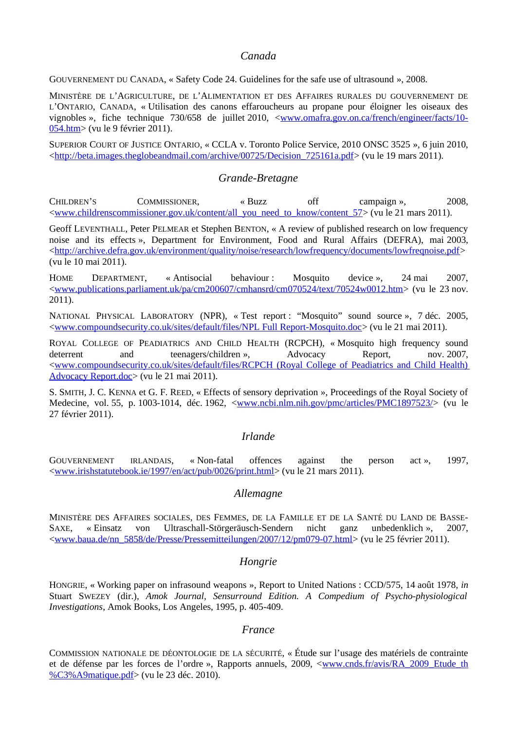#### *Canada*

GOUVERNEMENT DU CANADA, « Safety Code 24. Guidelines for the safe use of ultrasound », 2008.

MINISTÈRE DE L'AGRICULTURE, DE L'ALIMENTATION ET DES AFFAIRES RURALES DU GOUVERNEMENT DE L'ONTARIO, CANADA, « Utilisation des canons effaroucheurs au propane pour éloigner les oiseaux des vignobles », fiche technique 730/658 de juillet 2010, [<www.omafra.gov.on.ca/french/engineer/facts/10-](http://www.omafra.gov.on.ca/french/engineer/facts/10-054.htm) [054.htm>](http://www.omafra.gov.on.ca/french/engineer/facts/10-054.htm) (vu le 9 février 2011).

SUPERIOR COURT OF JUSTICE ONTARIO, « CCLA v. Toronto Police Service, 2010 ONSC 3525 », 6 juin 2010, [<http://beta.images.theglobeandmail.com/archive/00725/Decision\\_725161a.pdf>](http://beta.images.theglobeandmail.com/archive/00725/Decision_725161a.pdf) (vu le 19 mars 2011).

#### *Grande-Bretagne*

CHILDREN'S COMMISSIONER, « Buzz off campaign », 2008, [<www.childrenscommissioner.gov.uk/content/all\\_you\\_need\\_to\\_know/content\\_57>](http://www.childrenscommissioner.gov.uk/content/all_you_need_to_know/content_57) (vu le 21 mars 2011).

Geoff LEVENTHALL, Peter PELMEAR et Stephen BENTON, « A review of published research on low frequency noise and its effects », Department for Environment, Food and Rural Affairs (DEFRA), mai 2003, [<http://archive.defra.gov.uk/environment/quality/noise/research/lowfrequency/documents/lowfreqnoise.pdf>](http://archive.defra.gov.uk/environment/quality/noise/research/lowfrequency/documents/lowfreqnoise.pdf) (vu le 10 mai 2011).

HOME DEPARTMENT, « Antisocial behaviour : Mosquito device », 24 mai 2007, [<www.publications.parliament.uk/pa/cm200607/cmhansrd/cm070524/text/70524w0012.htm>](http://www.publications.parliament.uk/pa/cm200607/cmhansrd/cm070524/text/70524w0012.htm) (vu le 23 nov. 2011).

NATIONAL PHYSICAL LABORATORY (NPR), « Test report : "Mosquito" sound source », 7 déc. 2005, [<www.compoundsecurity.co.uk/sites/default/files/NPL Full Report-Mosquito.doc>](http://www.compoundsecurity.co.uk/sites/default/files/NPL%20Full%20Report-Mosquito.doc) (vu le 21 mai 2011).

ROYAL COLLEGE OF PEADIATRICS AND CHILD HEALTH (RCPCH), « Mosquito high frequency sound deterrent and teenagers/children », Advocacy Report, nov. 2007, [<www.compoundsecurity.co.uk/sites/default/files/RCPCH \(Royal College of Peadiatrics and Child Health\)](http://www.compoundsecurity.co.uk/sites/default/files/RCPCH%20(Royal%20College%20of%20Peadiatrics%20and%20Child%20Health)%20Advocacy%20Report.doc) [Advocacy Report.doc>](http://www.compoundsecurity.co.uk/sites/default/files/RCPCH%20(Royal%20College%20of%20Peadiatrics%20and%20Child%20Health)%20Advocacy%20Report.doc) (vu le 21 mai 2011).

S. SMITH, J. C. KENNA et G. F. REED, « Effects of sensory deprivation », Proceedings of the Royal Society of Medecine, vol. 55, p. 1003-1014, déc. 1962, [<www.ncbi.nlm.nih.gov/pmc/articles/PMC1897523/>](http://www.ncbi.nlm.nih.gov/pmc/articles/PMC1897523/) (vu le 27 février 2011).

#### *Irlande*

GOUVERNEMENT IRLANDAIS, « Non-fatal offences against the person act », 1997, [<www.irishstatutebook.ie/1997/en/act/pub/0026/print.html>](http://www.irishstatutebook.ie/1997/en/act/pub/0026/print.html) (vu le 21 mars 2011).

#### *Allemagne*

MINISTÈRE DES AFFAIRES SOCIALES, DES FEMMES, DE LA FAMILLE ET DE LA SANTÉ DU LAND DE BASSE-SAXE, « Einsatz von Ultraschall-Störgeräusch-Sendern nicht ganz unbedenklich », 2007, [<www.baua.de/nn\\_5858/de/Presse/Pressemitteilungen/2007/12/pm079-07.html>](http://www.baua.de/nn_5858/de/Presse/Pressemitteilungen/2007/12/pm079-07.html) (vu le 25 février 2011).

#### *Hongrie*

HONGRIE, « Working paper on infrasound weapons », Report to United Nations : CCD/575, 14 août 1978, *in* Stuart SWEZEY (dir.), *Amok Journal, Sensurround Edition. A Compedium of Psycho-physiological Investigations*, Amok Books, Los Angeles, 1995, p. 405-409.

#### *France*

COMMISSION NATIONALE DE DÉONTOLOGIE DE LA SÉCURITÉ, « Étude sur l'usage des matériels de contrainte et de défense par les forces de l'ordre », Rapports annuels, 2009, [<www.cnds.fr/avis/RA\\_2009\\_Etude\\_th](http://www.cnds.fr/avis/RA_2009_Etude_th%C3%A9matique.pdf) [%C3%A9matique.pdf>](http://www.cnds.fr/avis/RA_2009_Etude_th%C3%A9matique.pdf) (vu le 23 déc. 2010).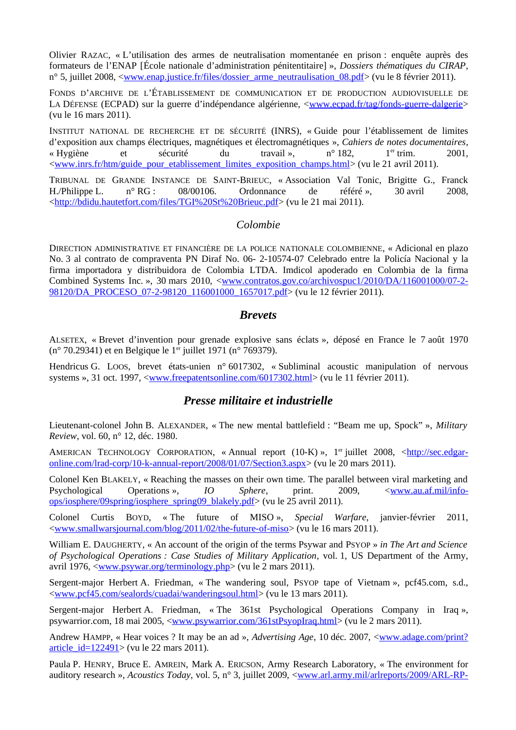Olivier RAZAC, « L'utilisation des armes de neutralisation momentanée en prison : enquête auprès des formateurs de l'ENAP [École nationale d'administration pénitentitaire] », *Dossiers thématiques du CIRAP*, n° 5, juillet 2008, [<www.enap.justice.fr/files/dossier\\_arme\\_neutraulisation\\_08.pdf>](http://www.enap.justice.fr/files/dossier_arme_neutraulisation_08.pdf) (vu le 8 février 2011).

FONDS D'ARCHIVE DE L'ÉTABLISSEMENT DE COMMUNICATION ET DE PRODUCTION AUDIOVISUELLE DE LA DÉFENSE (ECPAD) sur la guerre d'indépendance algérienne, [<www.ecpad.fr/tag/fonds-guerre-dalgerie>](http://www.ecpad.fr/tag/fonds-guerre-dalgerie) (vu le 16 mars 2011).

INSTITUT NATIONAL DE RECHERCHE ET DE SÉCURITÉ (INRS), « Guide pour l'établissement de limites d'exposition aux champs électriques, magnétiques et électromagnétiques », *Cahiers de notes documentaires*, « Hygiène et sécurité du travail », n° 182, 1<sup>er</sup> trim. 2001, [<www.inrs.fr/htm/guide\\_pour\\_etablissement\\_limites\\_exposition\\_champs.html>](http://www.inrs.fr/htm/guide_pour_etablissement_limites_exposition_champs.html) (vu le 21 avril 2011).

TRIBUNAL DE GRANDE INSTANCE DE SAINT-BRIEUC, « Association Val Tonic, Brigitte G., Franck H./Philippe L. n° RG : 08/00106. Ordonnance de référé », 30 avril 2008, [<http://bdidu.hautetfort.com/files/TGI%20St%20Brieuc.pdf>](http://bdidu.hautetfort.com/files/TGI%20St%20Brieuc.pdf) (vu le 21 mai 2011).

#### *Colombie*

DIRECTION ADMINISTRATIVE ET FINANCIÈRE DE LA POLICE NATIONALE COLOMBIENNE, « Adicional en plazo No. 3 al contrato de compraventa PN Diraf No. 06- 2-10574-07 Celebrado entre la Policía Nacional y la firma importadora y distribuidora de Colombia LTDA. Imdicol apoderado en Colombia de la firma Combined Systems Inc. », 30 mars 2010, [<www.contratos.gov.co/archivospuc1/2010/DA/116001000/07-2-](http://www.contratos.gov.co/archivospuc1/2010/DA/116001000/07-2-98120/DA_PROCESO_07-2-98120_116001000_1657017.pdf) [98120/DA\\_PROCESO\\_07-2-98120\\_116001000\\_1657017.pdf>](http://www.contratos.gov.co/archivospuc1/2010/DA/116001000/07-2-98120/DA_PROCESO_07-2-98120_116001000_1657017.pdf) (vu le 12 février 2011).

#### *Brevets*

ALSETEX, « Brevet d'invention pour grenade explosive sans éclats », déposé en France le 7 août 1970 (n° 70.29341) et en Belgique le 1<sup>er</sup> juillet 1971 (n° 769379).

Hendricus G. LOOS, brevet états-unien n° 6017302, « Subliminal acoustic manipulation of nervous systems », 31 oct. 1997, [<www.freepatentsonline.com/6017302.html>](http://www.freepatentsonline.com/6017302.html) (vu le 11 février 2011).

### *Presse militaire et industrielle*

Lieutenant-colonel John B. ALEXANDER, « The new mental battlefield : "Beam me up, Spock" », *Military Review*, vol. 60, n° 12, déc. 1980.

AMERICAN TECHNOLOGY CORPORATION, « Annual report (10-K) », 1<sup>er</sup> juillet 2008, [<http://sec.edgar](http://sec.edgar-online.com/lrad-corp/10-k-annual-report/2008/01/07/Section3.aspx)[online.com/lrad-corp/10-k-annual-report/2008/01/07/Section3.aspx>](http://sec.edgar-online.com/lrad-corp/10-k-annual-report/2008/01/07/Section3.aspx) (vu le 20 mars 2011).

Colonel Ken BLAKELY, « Reaching the masses on their own time. The parallel between viral marketing and Psychological Operations », *IO Sphere*, print. 2009, [<www.au.af.mil/info](http://www.au.af.mil/info-ops/iosphere/09spring/iosphere_spring09_blakely.pdf)[ops/iosphere/09spring/iosphere\\_spring09\\_blakely.pdf>](http://www.au.af.mil/info-ops/iosphere/09spring/iosphere_spring09_blakely.pdf) (vu le 25 avril 2011).

Colonel Curtis BOYD, « The future of MISO », *Special Warfare*, janvier-février 2011, [<www.smallwarsjournal.com/blog/2011/02/the-future-of-miso>](http://www.smallwarsjournal.com/blog/2011/02/the-future-of-miso) (vu le 16 mars 2011).

William E. DAUGHERTY, « An account of the origin of the terms Psywar and PSYOP » *in The Art and Science of Psychological Operations : Case Studies of Military Application*, vol. 1, US Department of the Army, avril 1976, [<www.psywar.org/terminology.php>](http://www.psywar.org/terminology.php) (vu le 2 mars 2011).

Sergent-major Herbert A. Friedman, « The wandering soul, PSYOP tape of Vietnam », pcf45.com, s.d., [<www.pcf45.com/sealords/cuadai/wanderingsoul.html>](http://www.pcf45.com/sealords/cuadai/wanderingsoul.html) (vu le 13 mars 2011).

Sergent-major Herbert A. Friedman, « The 361st Psychological Operations Company in Iraq », psywarrior.com, 18 mai 2005, [<www.psywarrior.com/361stPsyopIraq.html>](http://www.psywarrior.com/361stPsyopIraq.html) (vu le 2 mars 2011).

Andrew HAMPP, « Hear voices ? It may be an ad », *Advertising Age*, 10 déc. 2007, [<www.adage.com/print?](http://www.adage.com/print?article_id=122491) article id=122491> (vu le 22 mars 2011).

Paula P. HENRY, Bruce E. AMREIN, Mark A. ERICSON, Army Research Laboratory, « The environment for auditory research », *Acoustics Today*, vol. 5, n° 3, juillet 2009, [<www.arl.army.mil/arlreports/2009/ARL-RP-](http://www.arl.army.mil/arlreports/2009/ARL-RP-283.pdf)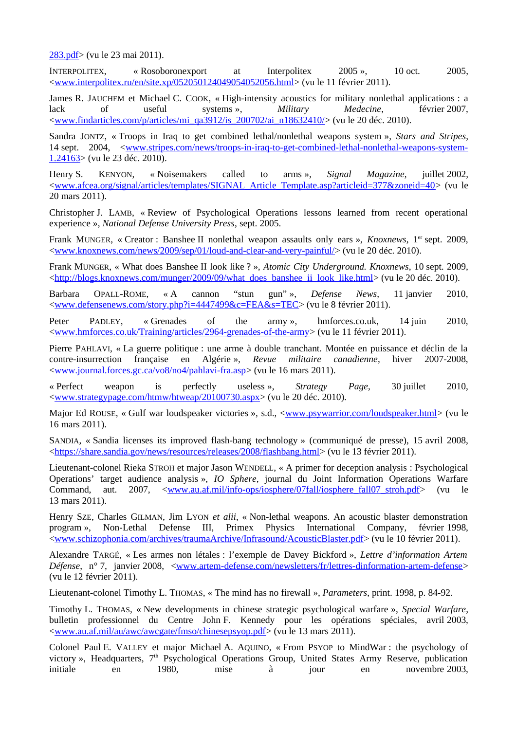[283.pdf>](http://www.arl.army.mil/arlreports/2009/ARL-RP-283.pdf) (vu le 23 mai 2011).

INTERPOLITEX, « Rosoboronexport at Interpolitex 2005 », 10 oct. 2005, [<www.interpolitex.ru/en/site.xp/052050124049054052056.html>](http://www.interpolitex.ru/en/site.xp/052050124049054052056.html) (vu le 11 février 2011).

James R. JAUCHEM et Michael C. COOK, « High-intensity acoustics for military nonlethal applications : a lack of useful systems », *Military Medecine*, février 2007, [<www.findarticles.com/p/articles/mi\\_qa3912/is\\_200702/ai\\_n18632410/>](http://www.findarticles.com/p/articles/mi_qa3912/is_200702/ai_n18632410/) (vu le 20 déc. 2010).

Sandra JONTZ, « Troops in Iraq to get combined lethal/nonlethal weapons system », *Stars and Stripes*, 14 sept. 2004, [<www.stripes.com/news/troops-in-iraq-to-get-combined-lethal-nonlethal-weapons-system-](http://www.stripes.com/news/troops-in-iraq-to-get-combined-lethal-nonlethal-weapons-system-1.24163)[1.24163>](http://www.stripes.com/news/troops-in-iraq-to-get-combined-lethal-nonlethal-weapons-system-1.24163) (vu le 23 déc. 2010).

Henry S. KENYON, « Noisemakers called to arms », *Signal Magazine*, juillet 2002, [<www.afcea.org/signal/articles/templates/SIGNAL\\_Article\\_Template.asp?articleid=377&zoneid=40>](http://www.afcea.org/signal/articles/templates/SIGNAL_Article_Template.asp?articleid=377&zoneid=40) (vu le 20 mars 2011).

Christopher J. LAMB, « Review of Psychological Operations lessons learned from recent operational experience », *National Defense University Press*, sept. 2005.

Frank MUNGER, « Creator : Banshee II nonlethal weapon assaults only ears », *Knoxnews*, 1<sup>er</sup> sept. 2009, [<www.knoxnews.com/news/2009/sep/01/loud-and-clear-and-very-painful/>](http://www.knoxnews.com/news/2009/sep/01/loud-and-clear-and-very-painful/) (vu le 20 déc. 2010).

Frank MUNGER, « What does Banshee II look like ? », *Atomic City Underground. Knoxnews*, 10 sept. 2009, [<http://blogs.knoxnews.com/munger/2009/09/what\\_does\\_banshee\\_ii\\_look\\_like.html>](http://blogs.knoxnews.com/munger/2009/09/what_does_banshee_ii_look_like.html) (vu le 20 déc. 2010).

Barbara OPALL-ROME, « A cannon "stun gun" », *Defense News*, 11 janvier 2010, [<www.defensenews.com/story.php?i=4447499&c=FEA&s=TEC>](http://www.defensenews.com/story.php?i=4447499&c=FEA&s=TEC) (vu le 8 février 2011).

Peter PADLEY, « Grenades of the army », hmforces.co.uk, 14 juin 2010, [<www.hmforces.co.uk/Training/articles/2964-grenades-of-the-army>](http://www.hmforces.co.uk/Training/articles/2964-grenades-of-the-army) (vu le 11 février 2011).

Pierre PAHLAVI, « La guerre politique : une arme à double tranchant. Montée en puissance et déclin de la contre-insurrection française en Algérie », *Revue militaire canadienne*, hiver 2007-2008, [<www.journal.forces.gc.ca/vo8/no4/pahlavi-fra.asp>](http://www.journal.forces.gc.ca/vo8/no4/pahlavi-fra.asp) (vu le 16 mars 2011).

« Perfect weapon is perfectly useless », *Strategy Page*, 30 juillet 2010, [<www.strategypage.com/htmw/htweap/20100730.aspx>](http://www.strategypage.com/htmw/htweap/20100730.aspx) (vu le 20 déc. 2010).

Major Ed ROUSE, « Gulf war loudspeaker victories », s.d., [<www.psywarrior.com/loudspeaker.html>](http://www.psywarrior.com/loudspeaker.html) (vu le 16 mars 2011).

SANDIA, « Sandia licenses its improved flash-bang technology » (communiqué de presse), 15 avril 2008, [<https://share.sandia.gov/news/resources/releases/2008/flashbang.html>](https://share.sandia.gov/news/resources/releases/2008/flashbang.html) (vu le 13 février 2011).

Lieutenant-colonel Rieka STROH et major Jason WENDELL, « A primer for deception analysis : Psychological Operations' target audience analysis », *IO Sphere*, journal du Joint Information Operations Warfare Command, aut. 2007,  $\leq$ www.au.af.mil/info-ops/iosphere/07fall/iosphere\_fall07\_stroh.pdf> (vu le 13 mars 2011).

Henry SZE, Charles GILMAN, Jim LYON *et alii*, « Non-lethal weapons. An acoustic blaster demonstration program », Non-Lethal Defense III, Primex Physics International Company, février 1998, [<www.schizophonia.com/archives/traumaArchive/Infrasound/AcousticBlaster.pdf>](http://www.schizophonia.com/archives/traumaArchive/Infrasound/AcousticBlaster.pdf) (vu le 10 février 2011).

Alexandre TARGÉ, « Les armes non létales : l'exemple de Davey Bickford », *Lettre d'information Artem Défense*, n° 7, janvier 2008, [<www.artem-defense.com/newsletters/fr/lettres-dinformation-artem-defense>](http://www.artem-defense.com/newsletters/fr/lettres-dinformation-artem-defense) (vu le 12 février 2011).

Lieutenant-colonel Timothy L. THOMAS, « The mind has no firewall », *Parameters*, print. 1998, p. 84-92.

Timothy L. THOMAS, « New developments in chinese strategic psychological warfare », *Special Warfare*, bulletin professionnel du Centre John F. Kennedy pour les opérations spéciales, avril 2003, [<www.au.af.mil/au/awc/awcgate/fmso/chinesepsyop.pdf>](http://www.au.af.mil/au/awc/awcgate/fmso/chinesepsyop.pdf) (vu le 13 mars 2011).

Colonel Paul E. VALLEY et major Michael A. AQUINO, « From PSYOP to MindWar : the psychology of victory », Headquarters, 7<sup>th</sup> Psychological Operations Group, United States Army Reserve, publication initiale en 1980, mise à jour en novembre 2003,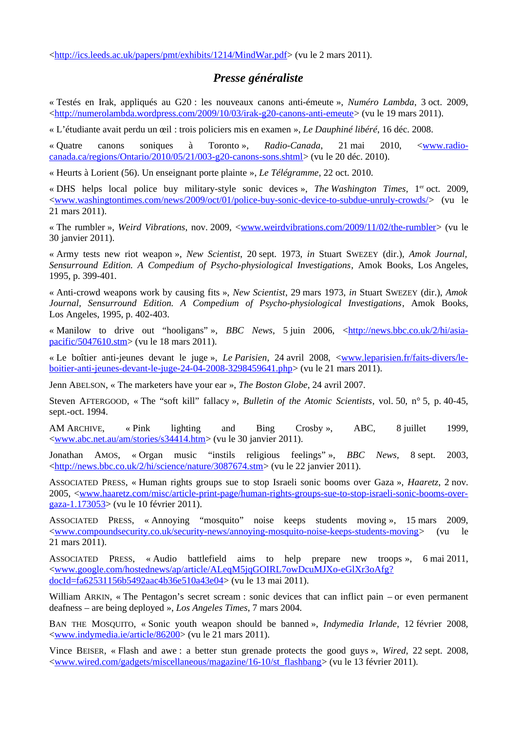[<http://ics.leeds.ac.uk/papers/pmt/exhibits/1214/MindWar.pdf>](http://ics.leeds.ac.uk/papers/pmt/exhibits/1214/MindWar.pdf) (vu le 2 mars 2011).

# *Presse généraliste*

« Testés en Irak, appliqués au G20 : les nouveaux canons anti-émeute », *Numéro Lambda*, 3 oct. 2009, [<http://numerolambda.wordpress.com/2009/10/03/irak-g20-canons-anti-emeute>](http://numerolambda.wordpress.com/2009/10/03/irak-g20-canons-anti-emeute) (vu le 19 mars 2011).

« L'étudiante avait perdu un œil : trois policiers mis en examen », *Le Dauphiné libéré*, 16 déc. 2008.

« Quatre canons soniques à Toronto », *Radio-Canada*, 21 mai 2010, [<www.radio](http://www.radio-canada.ca/regions/Ontario/2010/05/21/003-g20-canons-sons.shtml)[canada.ca/regions/Ontario/2010/05/21/003-g20-canons-sons.shtml>](http://www.radio-canada.ca/regions/Ontario/2010/05/21/003-g20-canons-sons.shtml) (vu le 20 déc. 2010).

« Heurts à Lorient (56). Un enseignant porte plainte », *Le Télégramme*, 22 oct. 2010.

« DHS helps local police buy military-style sonic devices », *The Washington Times*, 1<sup>er</sup> oct. 2009, [<www.washingtontimes.com/news/2009/oct/01/police-buy-sonic-device-to-subdue-unruly-crowds/>](http://www.washingtontimes.com/news/2009/oct/01/police-buy-sonic-device-to-subdue-unruly-crowds/) (vu le 21 mars 2011).

« The rumbler », *Weird Vibrations*, nov. 2009, [<www.weirdvibrations.com/2009/11/02/the-rumbler>](http://www.weirdvibrations.com/2009/11/02/the-rumbler) (vu le 30 janvier 2011).

« Army tests new riot weapon », *New Scientist*, 20 sept. 1973, *in* Stuart SWEZEY (dir.), *Amok Journal, Sensurround Edition. A Compedium of Psycho-physiological Investigations*, Amok Books, Los Angeles, 1995, p. 399-401.

« Anti-crowd weapons work by causing fits », *New Scientist*, 29 mars 1973, *in* Stuart SWEZEY (dir.), *Amok Journal, Sensurround Edition. A Compedium of Psycho-physiological Investigations*, Amok Books, Los Angeles, 1995, p. 402-403.

« Manilow to drive out "hooligans" », *BBC News*, 5 juin 2006, [<http://news.bbc.co.uk/2/hi/asia](http://news.bbc.co.uk/2/hi/asia-pacific/5047610.stm)[pacific/5047610.stm>](http://news.bbc.co.uk/2/hi/asia-pacific/5047610.stm) (vu le 18 mars 2011).

« Le boîtier anti-jeunes devant le juge », *Le Parisien*, 24 avril 2008, [<www.leparisien.fr/faits-divers/le](http://www.leparisien.fr/faits-divers/le-boitier-anti-jeunes-devant-le-juge-24-04-2008-3298459641.php)[boitier-anti-jeunes-devant-le-juge-24-04-2008-3298459641.php>](http://www.leparisien.fr/faits-divers/le-boitier-anti-jeunes-devant-le-juge-24-04-2008-3298459641.php) (vu le 21 mars 2011).

Jenn ABELSON, « The marketers have your ear », *The Boston Globe*, 24 avril 2007.

Steven AFTERGOOD, « The "soft kill" fallacy », *Bulletin of the Atomic Scientists*, vol. 50, n° 5, p. 40-45, sept.-oct. 1994.

AM ARCHIVE, « Pink lighting and Bing Crosby », ABC, 8 juillet 1999, [<www.abc.net.au/am/stories/s34414.htm>](http://www.abc.net.au/am/stories/s34414.htm) (vu le 30 janvier 2011).

Jonathan AMOS, « Organ music "instils religious feelings" », *BBC News*, 8 sept. 2003, <http://news.bbc.co.uk/2/hi/science/nature/3087674.stm> (vu le 22 janvier 2011).

ASSOCIATED PRESS, « Human rights groups sue to stop Israeli sonic booms over Gaza », *Haaretz*, 2 nov. 2005, [<www.haaretz.com/misc/article-print-page/human-rights-groups-sue-to-stop-israeli-sonic-booms-over](http://www.haaretz.com/misc/article-print-page/human-rights-groups-sue-to-stop-israeli-sonic-booms-over-gaza-1.173053)[gaza-1.173053>](http://www.haaretz.com/misc/article-print-page/human-rights-groups-sue-to-stop-israeli-sonic-booms-over-gaza-1.173053) (vu le 10 février 2011).

ASSOCIATED PRESS, « Annoying "mosquito" noise keeps students moving », 15 mars 2009, [<www.compoundsecurity.co.uk/security-news/annoying-mosquito-noise-keeps-students-moving>](http://www.compoundsecurity.co.uk/security-news/annoying-mosquito-noise-keeps-students-moving) (vu le 21 mars 2011).

ASSOCIATED PRESS, « Audio battlefield aims to help prepare new troops », 6 mai 2011, [<www.google.com/hostednews/ap/article/ALeqM5jqGOIRL7owDcuMJXo-eGlXr3oAfg?](http://www.google.com/hostednews/ap/article/ALeqM5jqGOIRL7owDcuMJXo-eGlXr3oAfg?docId=fa62531156b5492aac4b36e510a43e04) [docId=fa62531156b5492aac4b36e510a43e04>](http://www.google.com/hostednews/ap/article/ALeqM5jqGOIRL7owDcuMJXo-eGlXr3oAfg?docId=fa62531156b5492aac4b36e510a43e04) (vu le 13 mai 2011).

William ARKIN, « The Pentagon's secret scream : sonic devices that can inflict pain – or even permanent deafness – are being deployed », *Los Angeles Times*, 7 mars 2004.

BAN THE MOSQUITO, « Sonic youth weapon should be banned », *Indymedia Irlande*, 12 février 2008, [<www.indymedia.ie/article/86200>](http://www.indymedia.ie/article/86200) (vu le 21 mars 2011).

Vince BEISER, « Flash and awe : a better stun grenade protects the good guys », *Wired*, 22 sept. 2008, [<www.wired.com/gadgets/miscellaneous/magazine/16-10/st\\_flashbang>](http://www.wired.com/gadgets/miscellaneous/magazine/16-10/st_flashbang) (vu le 13 février 2011).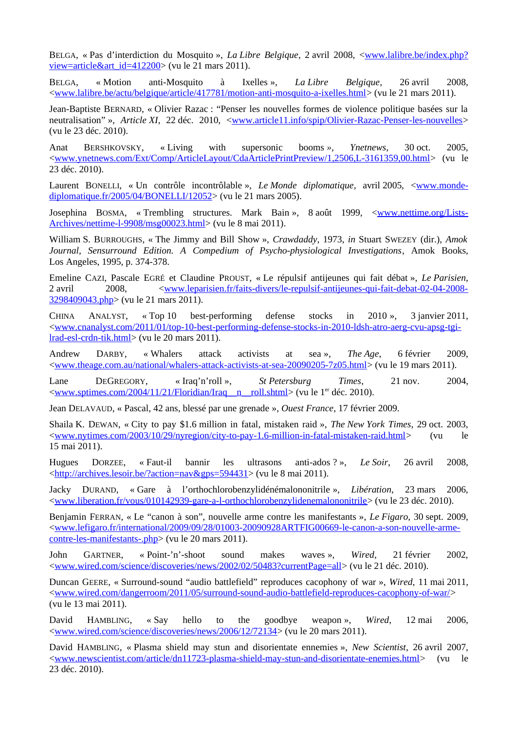BELGA, « Pas d'interdiction du Mosquito », *La Libre Belgique*, 2 avril 2008, [<www.lalibre.be/index.php?](http://www.lalibre.be/index.php?view=article&art_id=412200) [view=article&art\\_id=412200>](http://www.lalibre.be/index.php?view=article&art_id=412200) (vu le 21 mars 2011).

BELGA, « Motion anti-Mosquito à Ixelles », *La Libre Belgique*, 26 avril 2008, [<www.lalibre.be/actu/belgique/article/417781/motion-anti-mosquito-a-ixelles.html>](http://www.lalibre.be/actu/belgique/article/417781/motion-anti-mosquito-a-ixelles.html) (vu le 21 mars 2011).

Jean-Baptiste BERNARD, « Olivier Razac : "Penser les nouvelles formes de violence politique basées sur la neutralisation" », *Article XI*, 22 déc. 2010, [<www.article11.info/spip/Olivier-Razac-Penser-les-nouvelles>](http://www.article11.info/spip/Olivier-Razac-Penser-les-nouvelles) (vu le 23 déc. 2010).

Anat BERSHKOVSKY, « Living with supersonic booms *», Ynetnews*, 30 oct. 2005, [<www.ynetnews.com/Ext/Comp/ArticleLayout/CdaArticlePrintPreview/1,2506,L-3161359,00.html>](http://www.ynetnews.com/Ext/Comp/ArticleLayout/CdaArticlePrintPreview/1,2506,L-3161359,00.html) (vu le 23 déc. 2010).

Laurent BONELLI, « Un contrôle incontrôlable », *Le Monde diplomatique*, avril 2005, [<www.monde](http://www.monde-diplomatique.fr/2005/04/BONELLI/12052)[diplomatique.fr/2005/04/BONELLI/12052>](http://www.monde-diplomatique.fr/2005/04/BONELLI/12052) (vu le 21 mars 2005).

Josephina BOSMA, « Trembling structures. Mark Bain », 8 août 1999, [<www.nettime.org/Lists-](http://www.nettime.org/Lists-Archives/nettime-l-9908/msg00023.html)[Archives/nettime-l-9908/msg00023.html>](http://www.nettime.org/Lists-Archives/nettime-l-9908/msg00023.html) (vu le 8 mai 2011).

William S. BURROUGHS, « The Jimmy and Bill Show », *Crawdaddy*, 1973, *in* Stuart SWEZEY (dir.), *Amok Journal, Sensurround Edition. A Compedium of Psycho-physiological Investigations*, Amok Books, Los Angeles, 1995, p. 374-378.

Emeline CAZI, Pascale EGRÉ et Claudine PROUST, « Le répulsif antijeunes qui fait débat », *Le Parisien*, 2 avril 2008, [<www.leparisien.fr/faits-divers/le-repulsif-antijeunes-qui-fait-debat-02-04-2008-](http://www.leparisien.fr/faits-divers/le-repulsif-antijeunes-qui-fait-debat-02-04-2008-3298409043.php) [3298409043.php>](http://www.leparisien.fr/faits-divers/le-repulsif-antijeunes-qui-fait-debat-02-04-2008-3298409043.php) (vu le 21 mars 2011).

CHINA ANALYST, « Top 10 best-performing defense stocks in 2010 », 3 janvier 2011, [<www.cnanalyst.com/2011/01/top-10-best-performing-defense-stocks-in-2010-ldsh-atro-aerg-cvu-apsg-tgi](http://www.cnanalyst.com/2011/01/top-10-best-performing-defense-stocks-in-2010-ldsh-atro-aerg-cvu-apsg-tgi-lrad-esl-crdn-tik.html)[lrad-esl-crdn-tik.html>](http://www.cnanalyst.com/2011/01/top-10-best-performing-defense-stocks-in-2010-ldsh-atro-aerg-cvu-apsg-tgi-lrad-esl-crdn-tik.html) (vu le 20 mars 2011).

Andrew DARBY, « Whalers attack activists at sea », *The Age*, 6 février 2009, [<www.theage.com.au/national/whalers-attack-activists-at-sea-20090205-7z05.html>](http://www.theage.com.au/national/whalers-attack-activists-at-sea-20090205-7z05.html) (vu le 19 mars 2011).

Lane DEGREGORY, « Iraq'n'roll », *St Petersburg Times*, 21 nov. 2004, [<www.sptimes.com/2004/11/21/Floridian/Iraq\\_\\_n\\_\\_roll.shtml>](http://www.sptimes.com/2004/11/21/Floridian/Iraq__n__roll.shtml) (vu le 1er déc. 2010).

Jean DELAVAUD, « Pascal, 42 ans, blessé par une grenade », *Ouest France*, 17 février 2009.

Shaila K. DEWAN, « City to pay \$1.6 million in fatal, mistaken raid », *The New York Times*, 29 oct. 2003, [<www.nytimes.com/2003/10/29/nyregion/city-to-pay-1.6-million-in-fatal-mistaken-raid.html>](http://www.nytimes.com/2003/10/29/nyregion/city-to-pay-1.6-million-in-fatal-mistaken-raid.html) (vu le 15 mai 2011).

Hugues DORZEE, « Faut-il bannir les ultrasons anti-ados ? », *Le Soir*, 26 avril 2008, [<http://archives.lesoir.be/?action=nav&gps=594431>](http://archives.lesoir.be/?action=nav&gps=594431) (vu le 8 mai 2011).

Jacky DURAND, « Gare à l'orthochlorobenzylidénémalononitrile », *Libération*, 23 mars 2006, [<www.liberation.fr/vous/010142939-gare-a-l-orthochlorobenzylidenemalononitrile>](http://www.liberation.fr/vous/010142939-gare-a-l-orthochlorobenzylidenemalononitrile) (vu le 23 déc. 2010).

Benjamin FERRAN, « Le "canon à son", nouvelle arme contre les manifestants », *Le Figaro*, 30 sept. 2009, [<www.lefigaro.fr/international/2009/09/28/01003-20090928ARTFIG00669-le-canon-a-son-nouvelle-arme](http://www.lefigaro.fr/international/2009/09/28/01003-20090928ARTFIG00669-le-canon-a-son-nouvelle-arme-contre-les-manifestants-.php)[contre-les-manifestants-.php>](http://www.lefigaro.fr/international/2009/09/28/01003-20090928ARTFIG00669-le-canon-a-son-nouvelle-arme-contre-les-manifestants-.php) (vu le 20 mars 2011).

John GARTNER, « Point-'n'-shoot sound makes waves », *Wired*, 21 février 2002, [<www.wired.com/science/discoveries/news/2002/02/50483?currentPage=all>](http://www.wired.com/science/discoveries/news/2002/02/50483?currentPage=all) (vu le 21 déc. 2010).

Duncan GEERE, « Surround-sound "audio battlefield" reproduces cacophony of war », *Wired*, 11 mai 2011, [<www.wired.com/dangerroom/2011/05/surround-sound-audio-battlefield-reproduces-cacophony-of-war/>](http://www.wired.com/dangerroom/2011/05/surround-sound-audio-battlefield-reproduces-cacophony-of-war/) (vu le 13 mai 2011).

David HAMBLING, « Say hello to the goodbye weapon », *Wired*, 12 mai 2006, [<www.wired.com/science/discoveries/news/2006/12/72134>](http://www.wired.com/science/discoveries/news/2006/12/72134) (vu le 20 mars 2011).

David HAMBLING, « Plasma shield may stun and disorientate ennemies », *New Scientist*, 26 avril 2007, [<www.newscientist.com/article/dn11723-plasma-shield-may-stun-and-disorientate-enemies.html>](http://www.newscientist.com/article/dn11723-plasma-shield-may-stun-and-disorientate-enemies.html) (vu le 23 déc. 2010).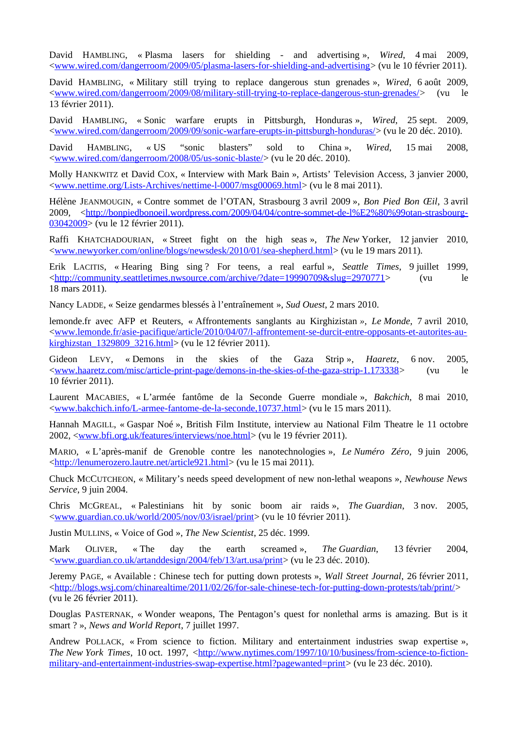David HAMBLING, « Plasma lasers for shielding - and advertising », *Wired*, 4 mai 2009, [<www.wired.com/dangerroom/2009/05/plasma-lasers-for-shielding-and-advertising>](http://www.wired.com/dangerroom/2009/05/plasma-lasers-for-shielding-and-advertising) (vu le 10 février 2011).

David HAMBLING, « Military still trying to replace dangerous stun grenades », *Wired*, 6 août 2009, [<www.wired.com/dangerroom/2009/08/military-still-trying-to-replace-dangerous-stun-grenades/>](http://www.wired.com/dangerroom/2009/08/military-still-trying-to-replace-dangerous-stun-grenades/) (vu le 13 février 2011).

David HAMBLING, « Sonic warfare erupts in Pittsburgh, Honduras », *Wired*, 25 sept. 2009, [<www.wired.com/dangerroom/2009/09/sonic-warfare-erupts-in-pittsburgh-honduras/>](http://www.wired.com/dangerroom/2009/09/sonic-warfare-erupts-in-pittsburgh-honduras/) (vu le 20 déc. 2010).

David HAMBLING, « US "sonic blasters" sold to China », *Wired*, 15 mai 2008, [<www.wired.com/dangerroom/2008/05/us-sonic-blaste/>](http://www.wired.com/dangerroom/2008/05/us-sonic-blaste/) (vu le 20 déc. 2010).

Molly HANKWITZ et David COX, « Interview with Mark Bain », Artists' Television Access, 3 janvier 2000, [<www.nettime.org/Lists-Archives/nettime-l-0007/msg00069.html>](http://www.nettime.org/Lists-Archives/nettime-l-0007/msg00069.html) (vu le 8 mai 2011).

Hélène JEANMOUGIN, « Contre sommet de l'OTAN, Strasbourg 3 avril 2009 », *Bon Pied Bon Œil*, 3 avril 2009, [<http://bonpiedbonoeil.wordpress.com/2009/04/04/contre-sommet-de-l%E2%80%99otan-strasbourg-](http://bonpiedbonoeil.wordpress.com/2009/04/04/contre-sommet-de-l%E2%80%99otan-strasbourg-03042009)[03042009>](http://bonpiedbonoeil.wordpress.com/2009/04/04/contre-sommet-de-l%E2%80%99otan-strasbourg-03042009) (vu le 12 février 2011).

Raffi KHATCHADOURIAN, « Street fight on the high seas », *The New* Yorker, 12 janvier 2010, [<www.newyorker.com/online/blogs/newsdesk/2010/01/sea-shepherd.html>](http://www.newyorker.com/online/blogs/newsdesk/2010/01/sea-shepherd.html) (vu le 19 mars 2011).

Erik LACITIS, « Hearing Bing sing ? For teens, a real earful », *Seattle Times*, 9 juillet 1999, [<http://community.seattletimes.nwsource.com/archive/?date=19990709&slug=2970771>](http://community.seattletimes.nwsource.com/archive/?date=19990709&slug=2970771) (vu le 18 mars 2011).

Nancy LADDE, « Seize gendarmes blessés à l'entraînement », *Sud Ouest*, 2 mars 2010.

lemonde.fr avec AFP et Reuters, « Affrontements sanglants au Kirghizistan *»*, *Le Monde*, 7 avril 2010, [<www.lemonde.fr/asie-pacifique/article/2010/04/07/l-affrontement-se-durcit-entre-opposants-et-autorites-au](http://www.lemonde.fr/asie-pacifique/article/2010/04/07/l-affrontement-se-durcit-entre-opposants-et-autorites-au-kirghizstan_1329809_3216.html)kirghizstan 1329809 3216.html> (vu le 12 février 2011).

Gideon LEVY, « Demons in the skies of the Gaza Strip », *Haaretz*, 6 nov. 2005, [<www.haaretz.com/misc/article-print-page/demons-in-the-skies-of-the-gaza-strip-1.173338>](http://www.haaretz.com/misc/article-print-page/demons-in-the-skies-of-the-gaza-strip-1.173338) (vu le 10 février 2011).

Laurent MACABIES, « L'armée fantôme de la Seconde Guerre mondiale », *Bakchich*, 8 mai 2010, [<www.bakchich.info/L-armee-fantome-de-la-seconde,10737.html>](http://www.bakchich.info/L-armee-fantome-de-la-seconde,10737.html) (vu le 15 mars 2011).

Hannah MAGILL, « Gaspar Noé », British Film Institute, interview au National Film Theatre le 11 octobre 2002, [<www.bfi.org.uk/features/interviews/noe.html>](http://www.bfi.org.uk/features/interviews/noe.html) (vu le 19 février 2011).

MARIO, « L'après-manif de Grenoble contre les nanotechnologies », *Le Numéro Zéro*, 9 juin 2006, [<http://lenumerozero.lautre.net/article921.html>](http://lenumerozero.lautre.net/article921.html) (vu le 15 mai 2011).

Chuck MCCUTCHEON, « Military's needs speed development of new non-lethal weapons », *Newhouse News Service*, 9 juin 2004.

Chris MCGREAL, « Palestinians hit by sonic boom air raids », *The Guardian*, 3 nov. 2005, [<www.guardian.co.uk/world/2005/nov/03/israel/print>](http://www.guardian.co.uk/world/2005/nov/03/israel/print) (vu le 10 février 2011).

Justin MULLINS, « Voice of God », *The New Scientist*, 25 déc. 1999.

Mark OLIVER, « The day the earth screamed », *The Guardian*, 13 février 2004, [<www.guardian.co.uk/artanddesign/2004/feb/13/art.usa/print>](http://www.guardian.co.uk/artanddesign/2004/feb/13/art.usa/print) (vu le 23 déc. 2010).

Jeremy PAGE, « Available : Chinese tech for putting down protests », *Wall Street Journal*, 26 février 2011, [<http://blogs.wsj.com/chinarealtime/2011/02/26/for-sale-chinese-tech-for-putting-down-protests/tab/print/>](http://blogs.wsj.com/chinarealtime/2011/02/26/for-sale-chinese-tech-for-putting-down-protests/tab/print/) (vu le 26 février 2011).

Douglas PASTERNAK, « Wonder weapons, The Pentagon's quest for nonlethal arms is amazing. But is it smart ? », *News and World Report*, 7 juillet 1997.

Andrew POLLACK, « From science to fiction. Military and entertainment industries swap expertise », *The* New York Times, 10 oct. 1997, [<http://www.nytimes.com/1997/10/10/business/from-science-to-fiction](http://www.nytimes.com/1997/10/10/business/from-science-to-fiction-military-and-entertainment-industries-swap-expertise.html?pagewanted=print)[military-and-entertainment-industries-swap-expertise.html?pagewanted=print>](http://www.nytimes.com/1997/10/10/business/from-science-to-fiction-military-and-entertainment-industries-swap-expertise.html?pagewanted=print) (vu le 23 déc. 2010).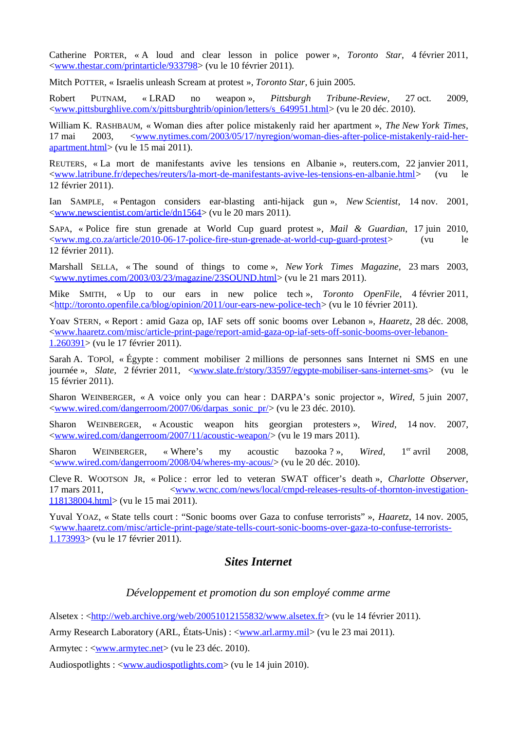Catherine PORTER, « A loud and clear lesson in police power », *Toronto Star*, 4 février 2011, [<www.thestar.com/printarticle/933798>](http://www.thestar.com/printarticle/933798) (vu le 10 février 2011).

Mitch POTTER, « Israelis unleash Scream at protest », *Toronto Star*, 6 juin 2005.

Robert PUTNAM, « LRAD no weapon », *Pittsburgh Tribune-Review*, 27 oct. 2009, [<www.pittsburghlive.com/x/pittsburghtrib/opinion/letters/s\\_649951.html>](http://www.pittsburghlive.com/x/pittsburghtrib/opinion/letters/s_649951.html) (vu le 20 déc. 2010).

William K. RASHBAUM, « Woman dies after police mistakenly raid her apartment », *The New York Times*, 17 mai 2003,  $\langle$ www.nytimes.com/2003/05/17/nyregion/woman-dies-after-police-mistakenly-raid-her[apartment.html>](http://www.nytimes.com/2003/05/17/nyregion/woman-dies-after-police-mistakenly-raid-her-apartment.html) (vu le 15 mai 2011).

REUTERS, « La mort de manifestants avive les tensions en Albanie », reuters.com, 22 janvier 2011, [<www.latribune.fr/depeches/reuters/la-mort-de-manifestants-avive-les-tensions-en-albanie.html>](http://www.latribune.fr/depeches/reuters/la-mort-de-manifestants-avive-les-tensions-en-albanie.html) (vu le 12 février 2011).

Ian SAMPLE, « Pentagon considers ear-blasting anti-hijack gun », *New Scientist*, 14 nov. 2001, [<www.newscientist.com/article/dn1564>](http://www.newscientist.com/article/dn1564) (vu le 20 mars 2011).

SAPA, « Police fire stun grenade at World Cup guard protest », *Mail & Guardian*, 17 juin 2010, [<www.mg.co.za/article/2010-06-17-police-fire-stun-grenade-at-world-cup-guard-protest>](http://www.mg.co.za/article/2010-06-17-police-fire-stun-grenade-at-world-cup-guard-protest) (vu le 12 février 2011).

Marshall SELLA, « The sound of things to come », *New York Times Magazine*, 23 mars 2003, [<www.nytimes.com/2003/03/23/magazine/23SOUND.html>](http://www.nytimes.com/2003/03/23/magazine/23SOUND.html) (vu le 21 mars 2011).

Mike SMITH, « Up to our ears in new police tech », *Toronto OpenFile*, 4 février 2011, [<http://toronto.openfile.ca/blog/opinion/2011/our-ears-new-police-tech>](http://toronto.openfile.ca/blog/opinion/2011/our-ears-new-police-tech) (vu le 10 février 2011).

Yoav STERN, « Report : amid Gaza op, IAF sets off sonic booms over Lebanon », *Haaretz*, 28 déc. 2008, [<www.haaretz.com/misc/article-print-page/report-amid-gaza-op-iaf-sets-off-sonic-booms-over-lebanon-](http://www.haaretz.com/misc/article-print-page/report-amid-gaza-op-iaf-sets-off-sonic-booms-over-lebanon-1.260391)[1.260391>](http://www.haaretz.com/misc/article-print-page/report-amid-gaza-op-iaf-sets-off-sonic-booms-over-lebanon-1.260391) (vu le 17 février 2011).

Sarah A. TOPOl, « Égypte : comment mobiliser 2 millions de personnes sans Internet ni SMS en une journée », *Slate*, 2 février 2011, [<www.slate.fr/story/33597/egypte-mobiliser-sans-internet-sms>](http://www.slate.fr/story/33597/egypte-mobiliser-sans-internet-sms) (vu le 15 février 2011).

Sharon WEINBERGER, « A voice only you can hear : DARPA's sonic projector », *Wired*, 5 juin 2007, [<www.wired.com/dangerroom/2007/06/darpas\\_sonic\\_pr/>](http://www.wired.com/dangerroom/2007/06/darpas_sonic_pr/) (vu le 23 déc. 2010).

Sharon WEINBERGER, « Acoustic weapon hits georgian protesters », *Wired*, 14 nov. 2007, [<www.wired.com/dangerroom/2007/11/acoustic-weapon/>](http://www.wired.com/dangerroom/2007/11/acoustic-weapon/) (vu le 19 mars 2011).

Sharon WEINBERGER, « Where's my acoustic bazooka ? », *Wired*, 1er avril 2008, [<www.wired.com/dangerroom/2008/04/wheres-my-acous/>](http://www.wired.com/dangerroom/2008/04/wheres-my-acous/) (vu le 20 déc. 2010).

Cleve R. WOOTSON JR, « Police : error led to veteran SWAT officer's death », *Charlotte Observer*, 17 mars 2011, [<www.wcnc.com/news/local/cmpd-releases-results-of-thornton-investigation-](http://www.wcnc.com/news/local/cmpd-releases-results-of-thornton-investigation-118138004.html)[118138004.html>](http://www.wcnc.com/news/local/cmpd-releases-results-of-thornton-investigation-118138004.html) (vu le 15 mai 2011).

Yuval YOAZ, « State tells court : "Sonic booms over Gaza to confuse terrorists" », *Haaretz*, 14 nov. 2005, [<www.haaretz.com/misc/article-print-page/state-tells-court-sonic-booms-over-gaza-to-confuse-terrorists-](http://www.haaretz.com/misc/article-print-page/state-tells-court-sonic-booms-over-gaza-to-confuse-terrorists-1.173993)[1.173993>](http://www.haaretz.com/misc/article-print-page/state-tells-court-sonic-booms-over-gaza-to-confuse-terrorists-1.173993) (vu le 17 février 2011).

### *Sites Internet*

#### *Développement et promotion du son employé comme arme*

Alsetex : [<http://web.archive.org/web/20051012155832/www.alsetex.fr>](http://web.archive.org/web/20051012155832/www.alsetex.fr) (vu le 14 février 2011).

Army Research Laboratory (ARL, États-Unis) : [<www.arl.army.mil>](http://www.arl.army.mil/) (vu le 23 mai 2011).

Armytec :  $\langle$ www.armytec.net> (vu le 23 déc. 2010).

Audiospotlights : [<www.audiospotlights.com>](http://www.audiospotlights.com/) (vu le 14 juin 2010).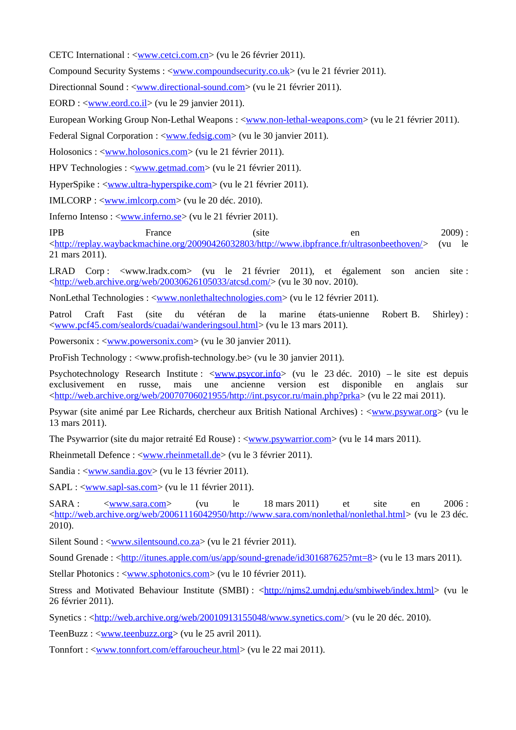CETC International : [<www.cetci.com.cn>](http://www.cetci.com.cn/) (vu le 26 février 2011).

Compound Security Systems : [<www.compoundsecurity.co.uk>](http://www.compoundsecurity.co.uk/) (vu le 21 février 2011).

Directionnal Sound : <<u>www.directional-sound.com</u>> (vu le 21 février 2011).

EORD : [<www.eord.co.il>](http://www.eord.co.il/) (vu le 29 janvier 2011).

European Working Group Non-Lethal Weapons : [<www.non-lethal-weapons.com>](http://www.non-lethal-weapons.com/) (vu le 21 février 2011).

Federal Signal Corporation : <<u>www.fedsig.com</u>> (vu le 30 janvier 2011).

Holosonics : [<www.holosonics.com>](http://www.holosonics.com/) (vu le 21 février 2011).

HPV Technologies : [<www.getmad.com>](http://www.getmad.com/) (vu le 21 février 2011).

HyperSpike : <<u>www.ultra-hyperspike.com</u>> (vu le 21 février 2011).

IMLCORP : <<u>www.imlcorp.com</u>> (vu le 20 déc. 2010).

Inferno Intenso : [<www.inferno.se>](http://www.inferno.se/) (vu le 21 février 2011).

IPB France (site en 2009) : [<http://replay.waybackmachine.org/20090426032803/http://www.ibpfrance.fr/ultrasonbeethoven/>](http://replay.waybackmachine.org/20090426032803/http://www.ibpfrance.fr/ultrasonbeethoven/) (vu le 21 mars 2011).

LRAD Corp : <www.lradx.com> (vu le 21 février 2011), et également son ancien site : [<http://web.archive.org/web/20030626105033/atcsd.com/>](http://web.archive.org/web/20030626105033/atcsd.com/) (vu le 30 nov. 2010).

NonLethal Technologies : [<www.nonlethaltechnologies.com>](http://www.nonlethaltechnologies.com/) (vu le 12 février 2011).

Patrol Craft Fast (site du vétéran de la marine états-unienne Robert B. Shirley) : [<www.pcf45.com/sealords/cuadai/wanderingsoul.html>](http://www.pcf45.com/sealords/cuadai/wanderingsoul.html) (vu le 13 mars 2011).

Powersonix : <<u>www.powersonix.com</u>> (vu le 30 janvier 2011).

ProFish Technology : <www.profish-technology.be> (vu le 30 janvier 2011).

Psychotechnology Research Institute : <<u>www.psycor.info</u>> (vu le 23 déc. 2010) – le site est depuis exclusivement en russe, mais une ancienne version est disponible en anglais sur [<http://web.archive.org/web/20070706021955/http://int.psycor.ru/main.php?prka>](http://web.archive.org/web/20070706021955/http://int.psycor.ru/main.php?prka) (vu le 22 mai 2011).

Psywar (site animé par Lee Richards, chercheur aux British National Archives) : [<www.psywar.org>](http://www.psywar.org/) (vu le 13 mars 2011).

The Psywarrior (site du major retraité Ed Rouse) :  $\langle$ www.psywarrior.com> (vu le 14 mars 2011).

Rheinmetall Defence : [<www.rheinmetall.de>](http://www.rheinmetall.de/) (vu le 3 février 2011).

Sandia : [<www.sandia.gov>](http://www.sandia.gov/) (vu le 13 février 2011).

SAPL : [<www.sapl-sas.com>](http://www.sapl-sas.com/) (vu le 11 février 2011).

SARA : [<www.sara.com>](http://www.sara.com/) (vu le 18 mars 2011) et site en 2006 : [<http://web.archive.org/web/20061116042950/http://www.sara.com/nonlethal/nonlethal.html>](http://web.archive.org/web/20061116042950/http://www.sara.com/nonlethal/nonlethal.html) (vu le 23 déc. 2010).

Silent Sound : <**www.silentsound.co.za**> (vu le 21 février 2011).

Sound Grenade : [<http://itunes.apple.com/us/app/sound-grenade/id301687625?mt=8>](http://itunes.apple.com/us/app/sound-grenade/id301687625?mt=8) (vu le 13 mars 2011).

Stellar Photonics : [<www.sphotonics.com>](http://www.sphotonics.com/) (vu le 10 février 2011).

Stress and Motivated Behaviour Institute (SMBI) : [<http://njms2.umdnj.edu/smbiweb/index.html>](http://njms2.umdnj.edu/smbiweb/index.html) (vu le 26 février 2011).

Synetics : [<http://web.archive.org/web/20010913155048/www.synetics.com/>](http://web.archive.org/web/20010913155048/www.synetics.com/) (vu le 20 déc. 2010).

TeenBuzz : [<www.teenbuzz.org>](http://www.teenbuzz.org/) (vu le 25 avril 2011).

Tonnfort : [<www.tonnfort.com/effaroucheur.html>](http://www.tonnfort.com/effaroucheur.html) (vu le 22 mai 2011).